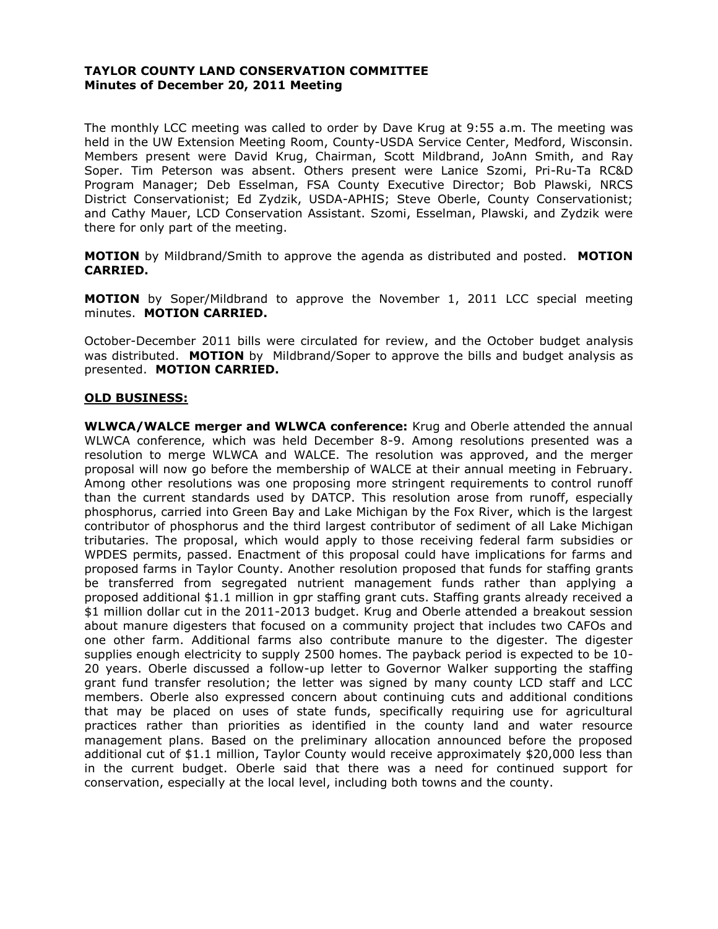#### **TAYLOR COUNTY LAND CONSERVATION COMMITTEE Minutes of December 20, 2011 Meeting**

The monthly LCC meeting was called to order by Dave Krug at 9:55 a.m. The meeting was held in the UW Extension Meeting Room, County-USDA Service Center, Medford, Wisconsin. Members present were David Krug, Chairman, Scott Mildbrand, JoAnn Smith, and Ray Soper. Tim Peterson was absent. Others present were Lanice Szomi, Pri-Ru-Ta RC&D Program Manager; Deb Esselman, FSA County Executive Director; Bob Plawski, NRCS District Conservationist; Ed Zydzik, USDA-APHIS; Steve Oberle, County Conservationist; and Cathy Mauer, LCD Conservation Assistant. Szomi, Esselman, Plawski, and Zydzik were there for only part of the meeting.

**MOTION** by Mildbrand/Smith to approve the agenda as distributed and posted. **MOTION CARRIED.**

**MOTION** by Soper/Mildbrand to approve the November 1, 2011 LCC special meeting minutes. **MOTION CARRIED.**

October-December 2011 bills were circulated for review, and the October budget analysis was distributed. **MOTION** by Mildbrand/Soper to approve the bills and budget analysis as presented. **MOTION CARRIED.**

#### **OLD BUSINESS:**

**WLWCA/WALCE merger and WLWCA conference:** Krug and Oberle attended the annual WLWCA conference, which was held December 8-9. Among resolutions presented was a resolution to merge WLWCA and WALCE. The resolution was approved, and the merger proposal will now go before the membership of WALCE at their annual meeting in February. Among other resolutions was one proposing more stringent requirements to control runoff than the current standards used by DATCP. This resolution arose from runoff, especially phosphorus, carried into Green Bay and Lake Michigan by the Fox River, which is the largest contributor of phosphorus and the third largest contributor of sediment of all Lake Michigan tributaries. The proposal, which would apply to those receiving federal farm subsidies or WPDES permits, passed. Enactment of this proposal could have implications for farms and proposed farms in Taylor County. Another resolution proposed that funds for staffing grants be transferred from segregated nutrient management funds rather than applying a proposed additional \$1.1 million in gpr staffing grant cuts. Staffing grants already received a \$1 million dollar cut in the 2011-2013 budget. Krug and Oberle attended a breakout session about manure digesters that focused on a community project that includes two CAFOs and one other farm. Additional farms also contribute manure to the digester. The digester supplies enough electricity to supply 2500 homes. The payback period is expected to be 10- 20 years. Oberle discussed a follow-up letter to Governor Walker supporting the staffing grant fund transfer resolution; the letter was signed by many county LCD staff and LCC members. Oberle also expressed concern about continuing cuts and additional conditions that may be placed on uses of state funds, specifically requiring use for agricultural practices rather than priorities as identified in the county land and water resource management plans. Based on the preliminary allocation announced before the proposed additional cut of \$1.1 million, Taylor County would receive approximately \$20,000 less than in the current budget. Oberle said that there was a need for continued support for conservation, especially at the local level, including both towns and the county.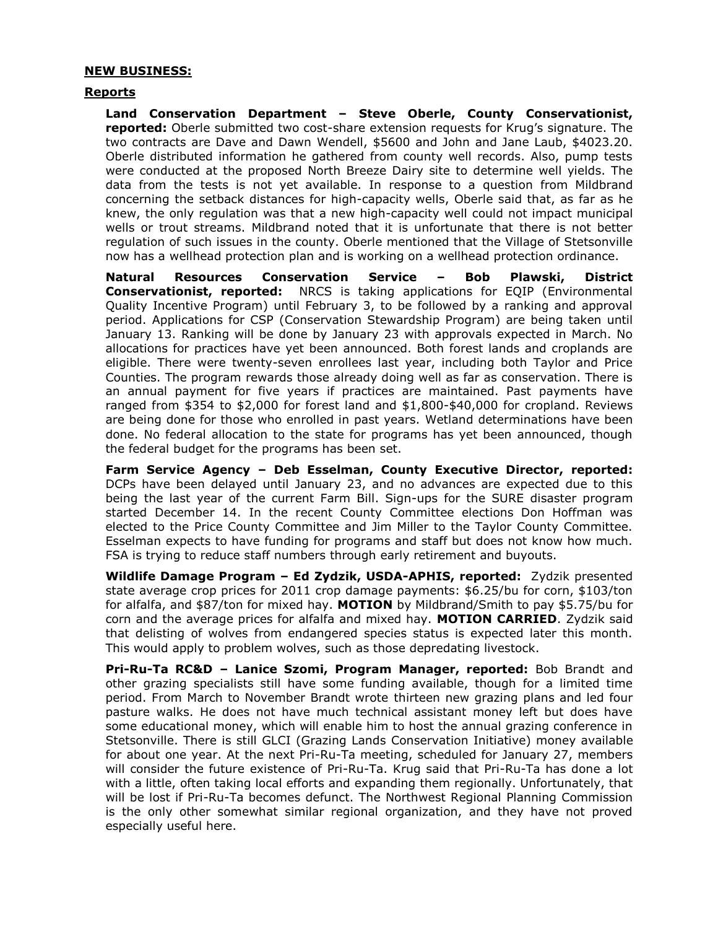#### **NEW BUSINESS:**

#### **Reports**

**Land Conservation Department – Steve Oberle, County Conservationist, reported:** Oberle submitted two cost-share extension requests for Krug's signature. The two contracts are Dave and Dawn Wendell, \$5600 and John and Jane Laub, \$4023.20. Oberle distributed information he gathered from county well records. Also, pump tests were conducted at the proposed North Breeze Dairy site to determine well yields. The data from the tests is not yet available. In response to a question from Mildbrand concerning the setback distances for high-capacity wells, Oberle said that, as far as he knew, the only regulation was that a new high-capacity well could not impact municipal wells or trout streams. Mildbrand noted that it is unfortunate that there is not better regulation of such issues in the county. Oberle mentioned that the Village of Stetsonville now has a wellhead protection plan and is working on a wellhead protection ordinance.

**Natural Resources Conservation Service – Bob Plawski, District Conservationist, reported:** NRCS is taking applications for EQIP (Environmental Quality Incentive Program) until February 3, to be followed by a ranking and approval period. Applications for CSP (Conservation Stewardship Program) are being taken until January 13. Ranking will be done by January 23 with approvals expected in March. No allocations for practices have yet been announced. Both forest lands and croplands are eligible. There were twenty-seven enrollees last year, including both Taylor and Price Counties. The program rewards those already doing well as far as conservation. There is an annual payment for five years if practices are maintained. Past payments have ranged from \$354 to \$2,000 for forest land and \$1,800-\$40,000 for cropland. Reviews are being done for those who enrolled in past years. Wetland determinations have been done. No federal allocation to the state for programs has yet been announced, though the federal budget for the programs has been set.

**Farm Service Agency – Deb Esselman, County Executive Director, reported:** DCPs have been delayed until January 23, and no advances are expected due to this being the last year of the current Farm Bill. Sign-ups for the SURE disaster program started December 14. In the recent County Committee elections Don Hoffman was elected to the Price County Committee and Jim Miller to the Taylor County Committee. Esselman expects to have funding for programs and staff but does not know how much. FSA is trying to reduce staff numbers through early retirement and buyouts.

**Wildlife Damage Program – Ed Zydzik, USDA-APHIS, reported:** Zydzik presented state average crop prices for 2011 crop damage payments: \$6.25/bu for corn, \$103/ton for alfalfa, and \$87/ton for mixed hay. **MOTION** by Mildbrand/Smith to pay \$5.75/bu for corn and the average prices for alfalfa and mixed hay. **MOTION CARRIED**. Zydzik said that delisting of wolves from endangered species status is expected later this month. This would apply to problem wolves, such as those depredating livestock.

**Pri-Ru-Ta RC&D – Lanice Szomi, Program Manager, reported:** Bob Brandt and other grazing specialists still have some funding available, though for a limited time period. From March to November Brandt wrote thirteen new grazing plans and led four pasture walks. He does not have much technical assistant money left but does have some educational money, which will enable him to host the annual grazing conference in Stetsonville. There is still GLCI (Grazing Lands Conservation Initiative) money available for about one year. At the next Pri-Ru-Ta meeting, scheduled for January 27, members will consider the future existence of Pri-Ru-Ta. Krug said that Pri-Ru-Ta has done a lot with a little, often taking local efforts and expanding them regionally. Unfortunately, that will be lost if Pri-Ru-Ta becomes defunct. The Northwest Regional Planning Commission is the only other somewhat similar regional organization, and they have not proved especially useful here.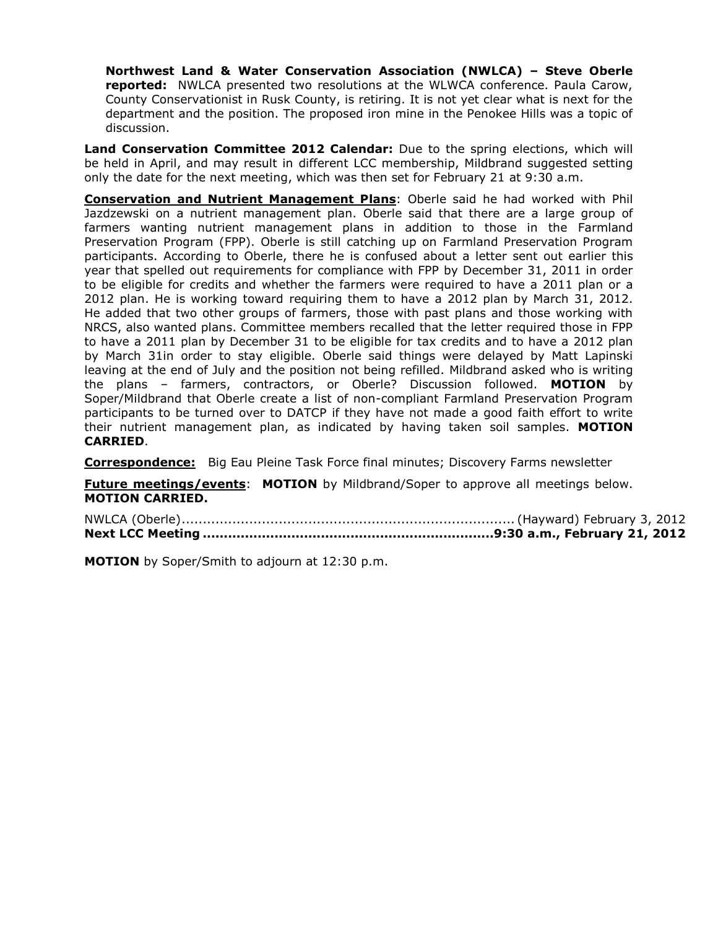**Northwest Land & Water Conservation Association (NWLCA) – Steve Oberle reported:** NWLCA presented two resolutions at the WLWCA conference. Paula Carow, County Conservationist in Rusk County, is retiring. It is not yet clear what is next for the department and the position. The proposed iron mine in the Penokee Hills was a topic of discussion.

**Land Conservation Committee 2012 Calendar:** Due to the spring elections, which will be held in April, and may result in different LCC membership, Mildbrand suggested setting only the date for the next meeting, which was then set for February 21 at 9:30 a.m.

**Conservation and Nutrient Management Plans**: Oberle said he had worked with Phil Jazdzewski on a nutrient management plan. Oberle said that there are a large group of farmers wanting nutrient management plans in addition to those in the Farmland Preservation Program (FPP). Oberle is still catching up on Farmland Preservation Program participants. According to Oberle, there he is confused about a letter sent out earlier this year that spelled out requirements for compliance with FPP by December 31, 2011 in order to be eligible for credits and whether the farmers were required to have a 2011 plan or a 2012 plan. He is working toward requiring them to have a 2012 plan by March 31, 2012. He added that two other groups of farmers, those with past plans and those working with NRCS, also wanted plans. Committee members recalled that the letter required those in FPP to have a 2011 plan by December 31 to be eligible for tax credits and to have a 2012 plan by March 31in order to stay eligible. Oberle said things were delayed by Matt Lapinski leaving at the end of July and the position not being refilled. Mildbrand asked who is writing the plans – farmers, contractors, or Oberle? Discussion followed. **MOTION** by Soper/Mildbrand that Oberle create a list of non-compliant Farmland Preservation Program participants to be turned over to DATCP if they have not made a good faith effort to write their nutrient management plan, as indicated by having taken soil samples. **MOTION CARRIED**.

**Correspondence:** Big Eau Pleine Task Force final minutes; Discovery Farms newsletter

**Future meetings/events: MOTION** by Mildbrand/Soper to approve all meetings below. **MOTION CARRIED.**

NWLCA (Oberle)............................................................................... (Hayward) February 3, 2012 **Next LCC Meeting .....................................................................9:30 a.m., February 21, 2012**

**MOTION** by Soper/Smith to adjourn at 12:30 p.m.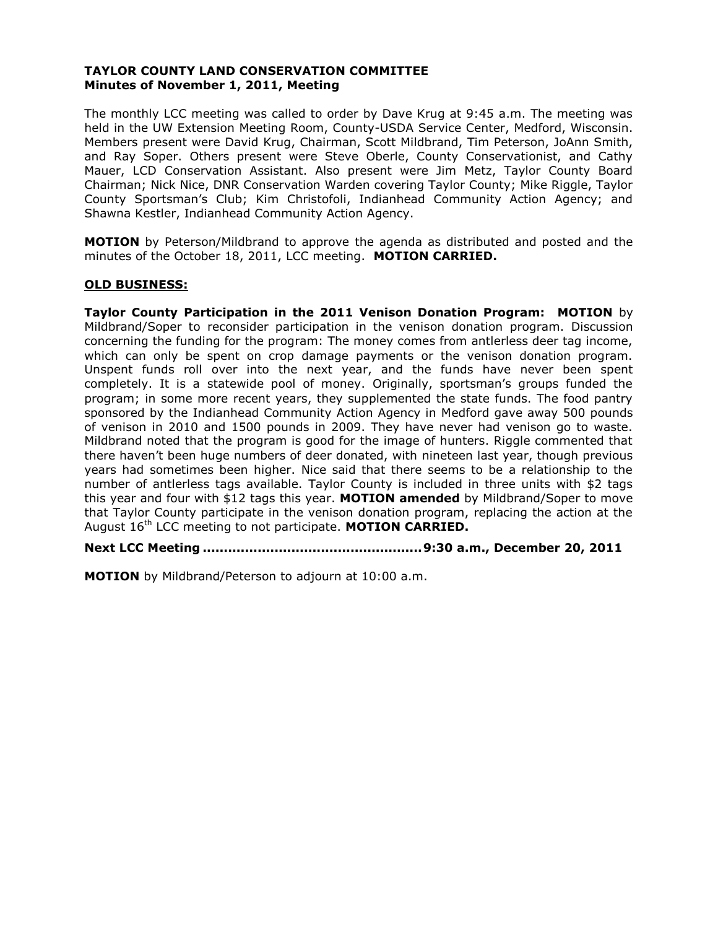#### **TAYLOR COUNTY LAND CONSERVATION COMMITTEE Minutes of November 1, 2011, Meeting**

The monthly LCC meeting was called to order by Dave Krug at 9:45 a.m. The meeting was held in the UW Extension Meeting Room, County-USDA Service Center, Medford, Wisconsin. Members present were David Krug, Chairman, Scott Mildbrand, Tim Peterson, JoAnn Smith, and Ray Soper. Others present were Steve Oberle, County Conservationist, and Cathy Mauer, LCD Conservation Assistant. Also present were Jim Metz, Taylor County Board Chairman; Nick Nice, DNR Conservation Warden covering Taylor County; Mike Riggle, Taylor County Sportsman's Club; Kim Christofoli, Indianhead Community Action Agency; and Shawna Kestler, Indianhead Community Action Agency.

**MOTION** by Peterson/Mildbrand to approve the agenda as distributed and posted and the minutes of the October 18, 2011, LCC meeting. **MOTION CARRIED.**

# **OLD BUSINESS:**

**Taylor County Participation in the 2011 Venison Donation Program: MOTION** by Mildbrand/Soper to reconsider participation in the venison donation program. Discussion concerning the funding for the program: The money comes from antlerless deer tag income, which can only be spent on crop damage payments or the venison donation program. Unspent funds roll over into the next year, and the funds have never been spent completely. It is a statewide pool of money. Originally, sportsman's groups funded the program; in some more recent years, they supplemented the state funds. The food pantry sponsored by the Indianhead Community Action Agency in Medford gave away 500 pounds of venison in 2010 and 1500 pounds in 2009. They have never had venison go to waste. Mildbrand noted that the program is good for the image of hunters. Riggle commented that there haven't been huge numbers of deer donated, with nineteen last year, though previous years had sometimes been higher. Nice said that there seems to be a relationship to the number of antlerless tags available. Taylor County is included in three units with \$2 tags this year and four with \$12 tags this year. **MOTION amended** by Mildbrand/Soper to move that Taylor County participate in the venison donation program, replacing the action at the August 16th LCC meeting to not participate. **MOTION CARRIED.**

**Next LCC Meeting ....................................................9:30 a.m., December 20, 2011**

**MOTION** by Mildbrand/Peterson to adjourn at 10:00 a.m.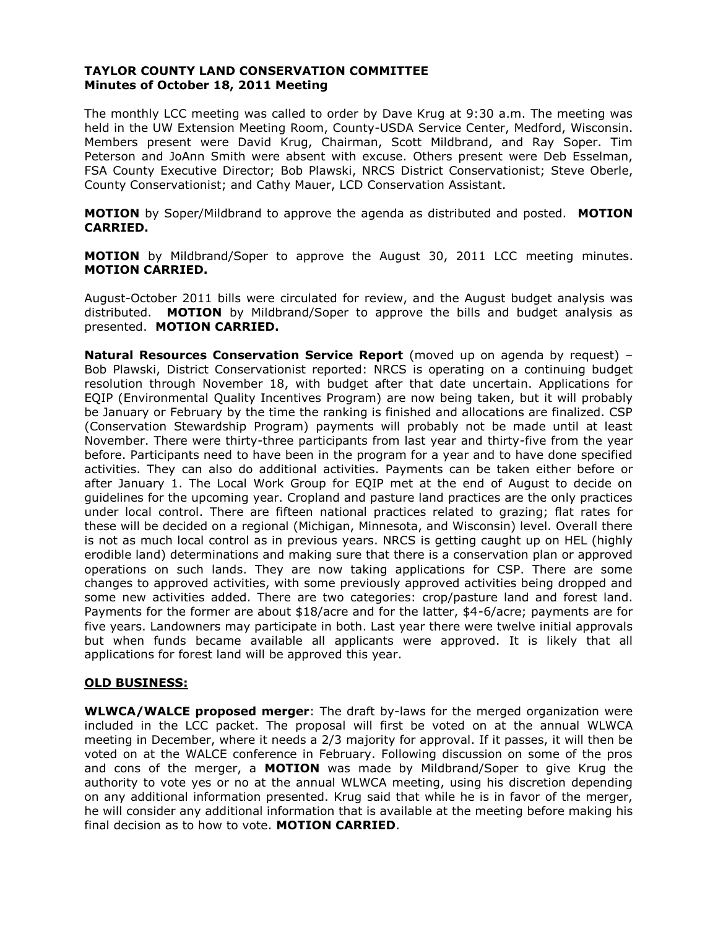# **TAYLOR COUNTY LAND CONSERVATION COMMITTEE Minutes of October 18, 2011 Meeting**

The monthly LCC meeting was called to order by Dave Krug at 9:30 a.m. The meeting was held in the UW Extension Meeting Room, County-USDA Service Center, Medford, Wisconsin. Members present were David Krug, Chairman, Scott Mildbrand, and Ray Soper. Tim Peterson and JoAnn Smith were absent with excuse. Others present were Deb Esselman, FSA County Executive Director; Bob Plawski, NRCS District Conservationist; Steve Oberle, County Conservationist; and Cathy Mauer, LCD Conservation Assistant.

**MOTION** by Soper/Mildbrand to approve the agenda as distributed and posted. **MOTION CARRIED.**

**MOTION** by Mildbrand/Soper to approve the August 30, 2011 LCC meeting minutes. **MOTION CARRIED.**

August-October 2011 bills were circulated for review, and the August budget analysis was distributed. **MOTION** by Mildbrand/Soper to approve the bills and budget analysis as presented. **MOTION CARRIED.**

**Natural Resources Conservation Service Report** (moved up on agenda by request) – Bob Plawski, District Conservationist reported: NRCS is operating on a continuing budget resolution through November 18, with budget after that date uncertain. Applications for EQIP (Environmental Quality Incentives Program) are now being taken, but it will probably be January or February by the time the ranking is finished and allocations are finalized. CSP (Conservation Stewardship Program) payments will probably not be made until at least November. There were thirty-three participants from last year and thirty-five from the year before. Participants need to have been in the program for a year and to have done specified activities. They can also do additional activities. Payments can be taken either before or after January 1. The Local Work Group for EQIP met at the end of August to decide on guidelines for the upcoming year. Cropland and pasture land practices are the only practices under local control. There are fifteen national practices related to grazing; flat rates for these will be decided on a regional (Michigan, Minnesota, and Wisconsin) level. Overall there is not as much local control as in previous years. NRCS is getting caught up on HEL (highly erodible land) determinations and making sure that there is a conservation plan or approved operations on such lands. They are now taking applications for CSP. There are some changes to approved activities, with some previously approved activities being dropped and some new activities added. There are two categories: crop/pasture land and forest land. Payments for the former are about \$18/acre and for the latter, \$4-6/acre; payments are for five years. Landowners may participate in both. Last year there were twelve initial approvals but when funds became available all applicants were approved. It is likely that all applications for forest land will be approved this year.

# **OLD BUSINESS:**

**WLWCA/WALCE proposed merger**: The draft by-laws for the merged organization were included in the LCC packet. The proposal will first be voted on at the annual WLWCA meeting in December, where it needs a 2/3 majority for approval. If it passes, it will then be voted on at the WALCE conference in February. Following discussion on some of the pros and cons of the merger, a **MOTION** was made by Mildbrand/Soper to give Krug the authority to vote yes or no at the annual WLWCA meeting, using his discretion depending on any additional information presented. Krug said that while he is in favor of the merger, he will consider any additional information that is available at the meeting before making his final decision as to how to vote. **MOTION CARRIED**.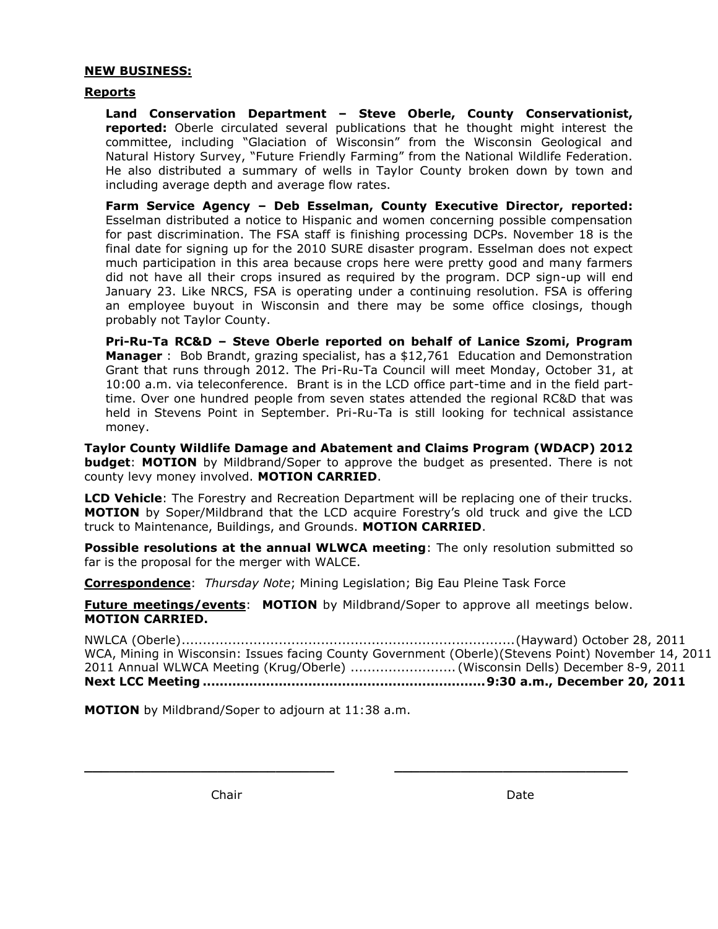# **NEW BUSINESS:**

#### **Reports**

**Land Conservation Department – Steve Oberle, County Conservationist, reported:** Oberle circulated several publications that he thought might interest the committee, including "Glaciation of Wisconsin" from the Wisconsin Geological and Natural History Survey, "Future Friendly Farming" from the National Wildlife Federation. He also distributed a summary of wells in Taylor County broken down by town and including average depth and average flow rates.

**Farm Service Agency – Deb Esselman, County Executive Director, reported:**  Esselman distributed a notice to Hispanic and women concerning possible compensation for past discrimination. The FSA staff is finishing processing DCPs. November 18 is the final date for signing up for the 2010 SURE disaster program. Esselman does not expect much participation in this area because crops here were pretty good and many farmers did not have all their crops insured as required by the program. DCP sign-up will end January 23. Like NRCS, FSA is operating under a continuing resolution. FSA is offering an employee buyout in Wisconsin and there may be some office closings, though probably not Taylor County.

**Pri-Ru-Ta RC&D – Steve Oberle reported on behalf of Lanice Szomi, Program Manager** : Bob Brandt, grazing specialist, has a \$12,761 Education and Demonstration Grant that runs through 2012. The Pri-Ru-Ta Council will meet Monday, October 31, at 10:00 a.m. via teleconference. Brant is in the LCD office part-time and in the field parttime. Over one hundred people from seven states attended the regional RC&D that was held in Stevens Point in September. Pri-Ru-Ta is still looking for technical assistance money.

**Taylor County Wildlife Damage and Abatement and Claims Program (WDACP) 2012 budget**: **MOTION** by Mildbrand/Soper to approve the budget as presented. There is not county levy money involved. **MOTION CARRIED**.

**LCD Vehicle**: The Forestry and Recreation Department will be replacing one of their trucks. **MOTION** by Soper/Mildbrand that the LCD acquire Forestry's old truck and give the LCD truck to Maintenance, Buildings, and Grounds. **MOTION CARRIED**.

**Possible resolutions at the annual WLWCA meeting**: The only resolution submitted so far is the proposal for the merger with WALCE.

**Correspondence**: *Thursday Note*; Mining Legislation; Big Eau Pleine Task Force

**Future meetings/events**: **MOTION** by Mildbrand/Soper to approve all meetings below. **MOTION CARRIED.**

**\_\_\_\_\_\_\_\_\_\_\_\_\_\_\_\_\_\_\_\_\_\_\_\_\_\_\_\_\_\_ \_\_\_\_\_\_\_\_\_\_\_\_\_\_\_\_\_\_\_\_\_\_\_\_\_\_\_\_**

NWLCA (Oberle)...............................................................................(Hayward) October 28, 2011 WCA, Mining in Wisconsin: Issues facing County Government (Oberle)(Stevens Point) November 14, 2011 2011 Annual WLWCA Meeting (Krug/Oberle) ......................... (Wisconsin Dells) December 8-9, 2011 **Next LCC Meeting ...................................................................9:30 a.m., December 20, 2011**

**MOTION** by Mildbrand/Soper to adjourn at 11:38 a.m.

Chair **Date**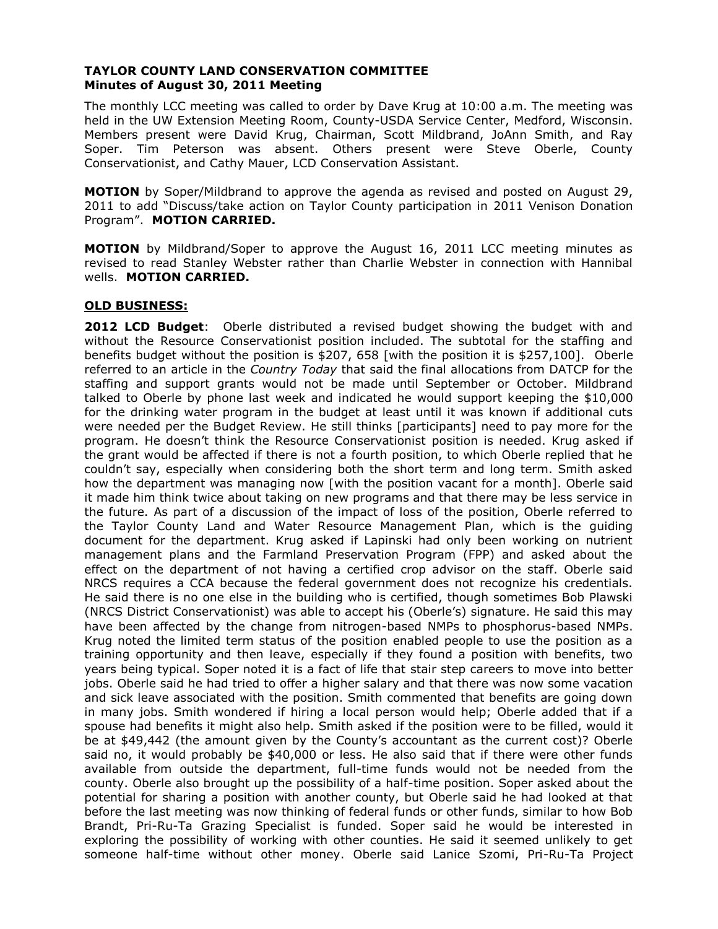#### **TAYLOR COUNTY LAND CONSERVATION COMMITTEE Minutes of August 30, 2011 Meeting**

The monthly LCC meeting was called to order by Dave Krug at 10:00 a.m. The meeting was held in the UW Extension Meeting Room, County-USDA Service Center, Medford, Wisconsin. Members present were David Krug, Chairman, Scott Mildbrand, JoAnn Smith, and Ray Soper. Tim Peterson was absent. Others present were Steve Oberle, County Conservationist, and Cathy Mauer, LCD Conservation Assistant.

**MOTION** by Soper/Mildbrand to approve the agenda as revised and posted on August 29, 2011 to add "Discuss/take action on Taylor County participation in 2011 Venison Donation Program". **MOTION CARRIED.**

**MOTION** by Mildbrand/Soper to approve the August 16, 2011 LCC meeting minutes as revised to read Stanley Webster rather than Charlie Webster in connection with Hannibal wells. **MOTION CARRIED.**

# **OLD BUSINESS:**

**2012 LCD Budget**: Oberle distributed a revised budget showing the budget with and without the Resource Conservationist position included. The subtotal for the staffing and benefits budget without the position is \$207, 658 [with the position it is \$257,100]. Oberle referred to an article in the *Country Today* that said the final allocations from DATCP for the staffing and support grants would not be made until September or October. Mildbrand talked to Oberle by phone last week and indicated he would support keeping the \$10,000 for the drinking water program in the budget at least until it was known if additional cuts were needed per the Budget Review. He still thinks [participants] need to pay more for the program. He doesn't think the Resource Conservationist position is needed. Krug asked if the grant would be affected if there is not a fourth position, to which Oberle replied that he couldn't say, especially when considering both the short term and long term. Smith asked how the department was managing now [with the position vacant for a month]. Oberle said it made him think twice about taking on new programs and that there may be less service in the future. As part of a discussion of the impact of loss of the position, Oberle referred to the Taylor County Land and Water Resource Management Plan, which is the guiding document for the department. Krug asked if Lapinski had only been working on nutrient management plans and the Farmland Preservation Program (FPP) and asked about the effect on the department of not having a certified crop advisor on the staff. Oberle said NRCS requires a CCA because the federal government does not recognize his credentials. He said there is no one else in the building who is certified, though sometimes Bob Plawski (NRCS District Conservationist) was able to accept his (Oberle's) signature. He said this may have been affected by the change from nitrogen-based NMPs to phosphorus-based NMPs. Krug noted the limited term status of the position enabled people to use the position as a training opportunity and then leave, especially if they found a position with benefits, two years being typical. Soper noted it is a fact of life that stair step careers to move into better jobs. Oberle said he had tried to offer a higher salary and that there was now some vacation and sick leave associated with the position. Smith commented that benefits are going down in many jobs. Smith wondered if hiring a local person would help; Oberle added that if a spouse had benefits it might also help. Smith asked if the position were to be filled, would it be at \$49,442 (the amount given by the County's accountant as the current cost)? Oberle said no, it would probably be \$40,000 or less. He also said that if there were other funds available from outside the department, full-time funds would not be needed from the county. Oberle also brought up the possibility of a half-time position. Soper asked about the potential for sharing a position with another county, but Oberle said he had looked at that before the last meeting was now thinking of federal funds or other funds, similar to how Bob Brandt, Pri-Ru-Ta Grazing Specialist is funded. Soper said he would be interested in exploring the possibility of working with other counties. He said it seemed unlikely to get someone half-time without other money. Oberle said Lanice Szomi, Pri-Ru-Ta Project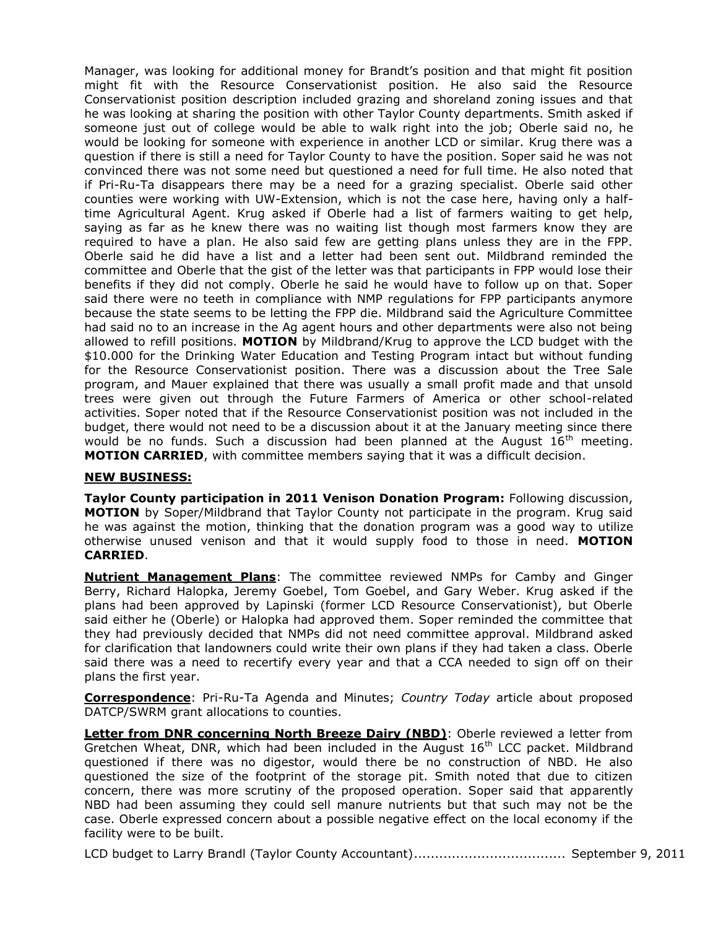Manager, was looking for additional money for Brandt's position and that might fit position might fit with the Resource Conservationist position. He also said the Resource Conservationist position description included grazing and shoreland zoning issues and that he was looking at sharing the position with other Taylor County departments. Smith asked if someone just out of college would be able to walk right into the job; Oberle said no, he would be looking for someone with experience in another LCD or similar. Krug there was a question if there is still a need for Taylor County to have the position. Soper said he was not convinced there was not some need but questioned a need for full time. He also noted that if Pri-Ru-Ta disappears there may be a need for a grazing specialist. Oberle said other counties were working with UW-Extension, which is not the case here, having only a halftime Agricultural Agent. Krug asked if Oberle had a list of farmers waiting to get help, saying as far as he knew there was no waiting list though most farmers know they are required to have a plan. He also said few are getting plans unless they are in the FPP. Oberle said he did have a list and a letter had been sent out. Mildbrand reminded the committee and Oberle that the gist of the letter was that participants in FPP would lose their benefits if they did not comply. Oberle he said he would have to follow up on that. Soper said there were no teeth in compliance with NMP regulations for FPP participants anymore because the state seems to be letting the FPP die. Mildbrand said the Agriculture Committee had said no to an increase in the Ag agent hours and other departments were also not being allowed to refill positions. **MOTION** by Mildbrand/Krug to approve the LCD budget with the \$10.000 for the Drinking Water Education and Testing Program intact but without funding for the Resource Conservationist position. There was a discussion about the Tree Sale program, and Mauer explained that there was usually a small profit made and that unsold trees were given out through the Future Farmers of America or other school-related activities. Soper noted that if the Resource Conservationist position was not included in the budget, there would not need to be a discussion about it at the January meeting since there would be no funds. Such a discussion had been planned at the August  $16<sup>th</sup>$  meeting. **MOTION CARRIED**, with committee members saying that it was a difficult decision.

# **NEW BUSINESS:**

**Taylor County participation in 2011 Venison Donation Program:** Following discussion, **MOTION** by Soper/Mildbrand that Taylor County not participate in the program. Krug said he was against the motion, thinking that the donation program was a good way to utilize otherwise unused venison and that it would supply food to those in need. **MOTION CARRIED**.

**Nutrient Management Plans**: The committee reviewed NMPs for Camby and Ginger Berry, Richard Halopka, Jeremy Goebel, Tom Goebel, and Gary Weber. Krug asked if the plans had been approved by Lapinski (former LCD Resource Conservationist), but Oberle said either he (Oberle) or Halopka had approved them. Soper reminded the committee that they had previously decided that NMPs did not need committee approval. Mildbrand asked for clarification that landowners could write their own plans if they had taken a class. Oberle said there was a need to recertify every year and that a CCA needed to sign off on their plans the first year.

**Correspondence**: Pri-Ru-Ta Agenda and Minutes; *Country Today* article about proposed DATCP/SWRM grant allocations to counties.

**Letter from DNR concerning North Breeze Dairy (NBD)**: Oberle reviewed a letter from Gretchen Wheat, DNR, which had been included in the August  $16<sup>th</sup>$  LCC packet. Mildbrand questioned if there was no digestor, would there be no construction of NBD. He also questioned the size of the footprint of the storage pit. Smith noted that due to citizen concern, there was more scrutiny of the proposed operation. Soper said that apparently NBD had been assuming they could sell manure nutrients but that such may not be the case. Oberle expressed concern about a possible negative effect on the local economy if the facility were to be built.

LCD budget to Larry Brandl (Taylor County Accountant).................................... September 9, 2011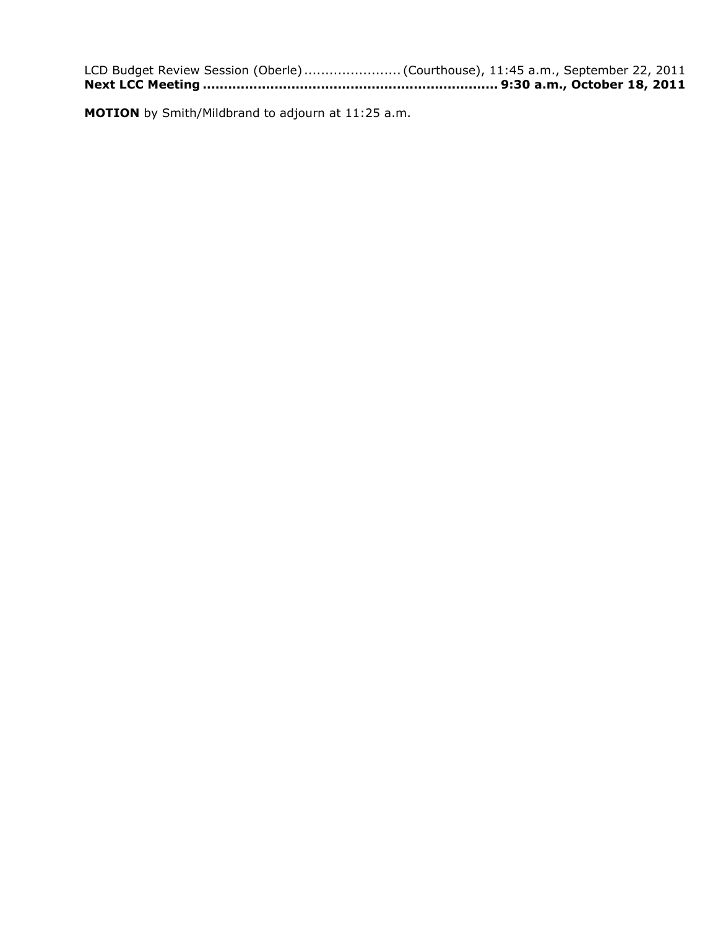| LCD Budget Review Session (Oberle)  (Courthouse), 11:45 a.m., September 22, 2011 |
|----------------------------------------------------------------------------------|
|                                                                                  |

**MOTION** by Smith/Mildbrand to adjourn at 11:25 a.m.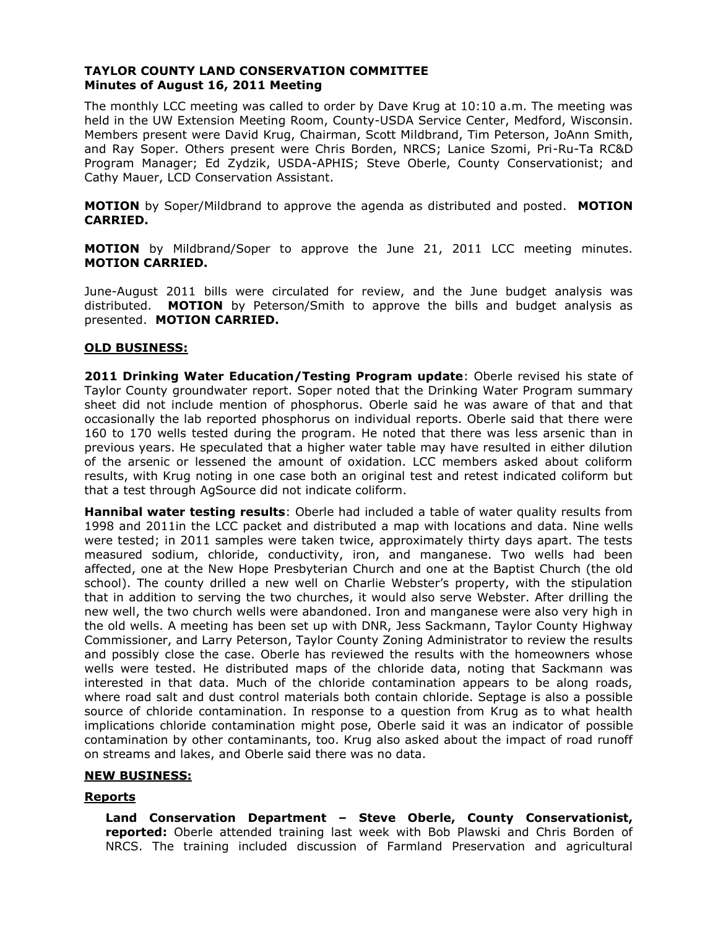# **TAYLOR COUNTY LAND CONSERVATION COMMITTEE Minutes of August 16, 2011 Meeting**

The monthly LCC meeting was called to order by Dave Krug at 10:10 a.m. The meeting was held in the UW Extension Meeting Room, County-USDA Service Center, Medford, Wisconsin. Members present were David Krug, Chairman, Scott Mildbrand, Tim Peterson, JoAnn Smith, and Ray Soper. Others present were Chris Borden, NRCS; Lanice Szomi, Pri-Ru-Ta RC&D Program Manager; Ed Zydzik, USDA-APHIS; Steve Oberle, County Conservationist; and Cathy Mauer, LCD Conservation Assistant.

**MOTION** by Soper/Mildbrand to approve the agenda as distributed and posted. **MOTION CARRIED.**

**MOTION** by Mildbrand/Soper to approve the June 21, 2011 LCC meeting minutes. **MOTION CARRIED.**

June-August 2011 bills were circulated for review, and the June budget analysis was distributed. **MOTION** by Peterson/Smith to approve the bills and budget analysis as presented. **MOTION CARRIED.**

# **OLD BUSINESS:**

**2011 Drinking Water Education/Testing Program update**: Oberle revised his state of Taylor County groundwater report. Soper noted that the Drinking Water Program summary sheet did not include mention of phosphorus. Oberle said he was aware of that and that occasionally the lab reported phosphorus on individual reports. Oberle said that there were 160 to 170 wells tested during the program. He noted that there was less arsenic than in previous years. He speculated that a higher water table may have resulted in either dilution of the arsenic or lessened the amount of oxidation. LCC members asked about coliform results, with Krug noting in one case both an original test and retest indicated coliform but that a test through AgSource did not indicate coliform.

**Hannibal water testing results**: Oberle had included a table of water quality results from 1998 and 2011in the LCC packet and distributed a map with locations and data. Nine wells were tested; in 2011 samples were taken twice, approximately thirty days apart. The tests measured sodium, chloride, conductivity, iron, and manganese. Two wells had been affected, one at the New Hope Presbyterian Church and one at the Baptist Church (the old school). The county drilled a new well on Charlie Webster's property, with the stipulation that in addition to serving the two churches, it would also serve Webster. After drilling the new well, the two church wells were abandoned. Iron and manganese were also very high in the old wells. A meeting has been set up with DNR, Jess Sackmann, Taylor County Highway Commissioner, and Larry Peterson, Taylor County Zoning Administrator to review the results and possibly close the case. Oberle has reviewed the results with the homeowners whose wells were tested. He distributed maps of the chloride data, noting that Sackmann was interested in that data. Much of the chloride contamination appears to be along roads, where road salt and dust control materials both contain chloride. Septage is also a possible source of chloride contamination. In response to a question from Krug as to what health implications chloride contamination might pose, Oberle said it was an indicator of possible contamination by other contaminants, too. Krug also asked about the impact of road runoff on streams and lakes, and Oberle said there was no data.

#### **NEW BUSINESS:**

#### **Reports**

**Land Conservation Department – Steve Oberle, County Conservationist, reported:** Oberle attended training last week with Bob Plawski and Chris Borden of NRCS. The training included discussion of Farmland Preservation and agricultural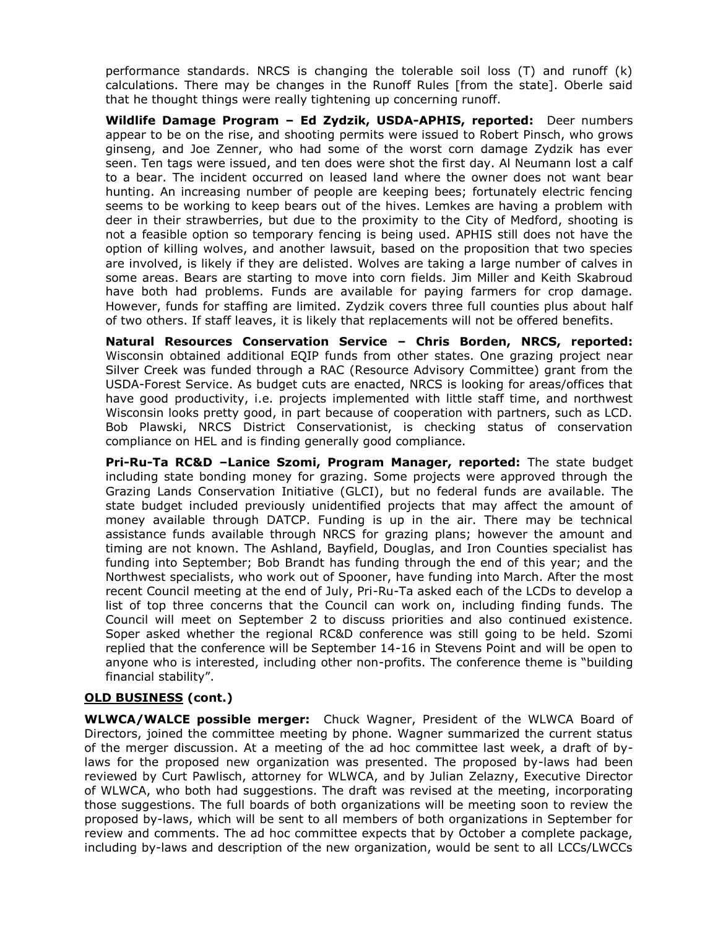performance standards. NRCS is changing the tolerable soil loss (T) and runoff (k) calculations. There may be changes in the Runoff Rules [from the state]. Oberle said that he thought things were really tightening up concerning runoff.

**Wildlife Damage Program – Ed Zydzik, USDA-APHIS, reported:** Deer numbers appear to be on the rise, and shooting permits were issued to Robert Pinsch, who grows ginseng, and Joe Zenner, who had some of the worst corn damage Zydzik has ever seen. Ten tags were issued, and ten does were shot the first day. Al Neumann lost a calf to a bear. The incident occurred on leased land where the owner does not want bear hunting. An increasing number of people are keeping bees; fortunately electric fencing seems to be working to keep bears out of the hives. Lemkes are having a problem with deer in their strawberries, but due to the proximity to the City of Medford, shooting is not a feasible option so temporary fencing is being used. APHIS still does not have the option of killing wolves, and another lawsuit, based on the proposition that two species are involved, is likely if they are delisted. Wolves are taking a large number of calves in some areas. Bears are starting to move into corn fields. Jim Miller and Keith Skabroud have both had problems. Funds are available for paying farmers for crop damage. However, funds for staffing are limited. Zydzik covers three full counties plus about half of two others. If staff leaves, it is likely that replacements will not be offered benefits.

**Natural Resources Conservation Service – Chris Borden, NRCS, reported:** Wisconsin obtained additional EQIP funds from other states. One grazing project near Silver Creek was funded through a RAC (Resource Advisory Committee) grant from the USDA-Forest Service. As budget cuts are enacted, NRCS is looking for areas/offices that have good productivity, i.e. projects implemented with little staff time, and northwest Wisconsin looks pretty good, in part because of cooperation with partners, such as LCD. Bob Plawski, NRCS District Conservationist, is checking status of conservation compliance on HEL and is finding generally good compliance.

**Pri-Ru-Ta RC&D –Lanice Szomi, Program Manager, reported:** The state budget including state bonding money for grazing. Some projects were approved through the Grazing Lands Conservation Initiative (GLCI), but no federal funds are available. The state budget included previously unidentified projects that may affect the amount of money available through DATCP. Funding is up in the air. There may be technical assistance funds available through NRCS for grazing plans; however the amount and timing are not known. The Ashland, Bayfield, Douglas, and Iron Counties specialist has funding into September; Bob Brandt has funding through the end of this year; and the Northwest specialists, who work out of Spooner, have funding into March. After the most recent Council meeting at the end of July, Pri-Ru-Ta asked each of the LCDs to develop a list of top three concerns that the Council can work on, including finding funds. The Council will meet on September 2 to discuss priorities and also continued existence. Soper asked whether the regional RC&D conference was still going to be held. Szomi replied that the conference will be September 14-16 in Stevens Point and will be open to anyone who is interested, including other non-profits. The conference theme is "building financial stability".

# **OLD BUSINESS (cont.)**

**WLWCA/WALCE possible merger:** Chuck Wagner, President of the WLWCA Board of Directors, joined the committee meeting by phone. Wagner summarized the current status of the merger discussion. At a meeting of the ad hoc committee last week, a draft of bylaws for the proposed new organization was presented. The proposed by-laws had been reviewed by Curt Pawlisch, attorney for WLWCA, and by Julian Zelazny, Executive Director of WLWCA, who both had suggestions. The draft was revised at the meeting, incorporating those suggestions. The full boards of both organizations will be meeting soon to review the proposed by-laws, which will be sent to all members of both organizations in September for review and comments. The ad hoc committee expects that by October a complete package, including by-laws and description of the new organization, would be sent to all LCCs/LWCCs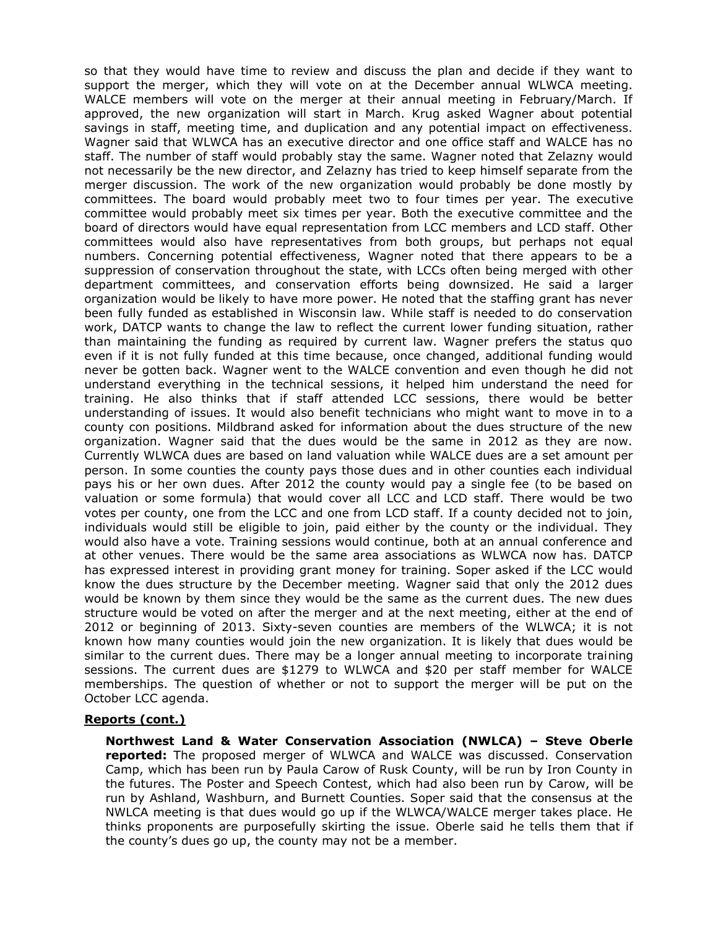so that they would have time to review and discuss the plan and decide if they want to support the merger, which they will vote on at the December annual WLWCA meeting. WALCE members will vote on the merger at their annual meeting in February/March. If approved, the new organization will start in March. Krug asked Wagner about potential savings in staff, meeting time, and duplication and any potential impact on effectiveness. Wagner said that WLWCA has an executive director and one office staff and WALCE has no staff. The number of staff would probably stay the same. Wagner noted that Zelazny would not necessarily be the new director, and Zelazny has tried to keep himself separate from the merger discussion. The work of the new organization would probably be done mostly by committees. The board would probably meet two to four times per year. The executive committee would probably meet six times per year. Both the executive committee and the board of directors would have equal representation from LCC members and LCD staff. Other committees would also have representatives from both groups, but perhaps not equal numbers. Concerning potential effectiveness, Wagner noted that there appears to be a suppression of conservation throughout the state, with LCCs often being merged with other department committees, and conservation efforts being downsized. He said a larger organization would be likely to have more power. He noted that the staffing grant has never been fully funded as established in Wisconsin law. While staff is needed to do conservation work, DATCP wants to change the law to reflect the current lower funding situation, rather than maintaining the funding as required by current law. Wagner prefers the status quo even if it is not fully funded at this time because, once changed, additional funding would never be gotten back. Wagner went to the WALCE convention and even though he did not understand everything in the technical sessions, it helped him understand the need for training. He also thinks that if staff attended LCC sessions, there would be better understanding of issues. It would also benefit technicians who might want to move in to a county con positions. Mildbrand asked for information about the dues structure of the new organization. Wagner said that the dues would be the same in 2012 as they are now. Currently WLWCA dues are based on land valuation while WALCE dues are a set amount per person. In some counties the county pays those dues and in other counties each individual pays his or her own dues. After 2012 the county would pay a single fee (to be based on valuation or some formula) that would cover all LCC and LCD staff. There would be two votes per county, one from the LCC and one from LCD staff. If a county decided not to join, individuals would still be eligible to join, paid either by the county or the individual. They would also have a vote. Training sessions would continue, both at an annual conference and at other venues. There would be the same area associations as WLWCA now has. DATCP has expressed interest in providing grant money for training. Soper asked if the LCC would know the dues structure by the December meeting. Wagner said that only the 2012 dues would be known by them since they would be the same as the current dues. The new dues structure would be voted on after the merger and at the next meeting, either at the end of 2012 or beginning of 2013. Sixty-seven counties are members of the WLWCA; it is not known how many counties would join the new organization. It is likely that dues would be similar to the current dues. There may be a longer annual meeting to incorporate training sessions. The current dues are \$1279 to WLWCA and \$20 per staff member for WALCE memberships. The question of whether or not to support the merger will be put on the October LCC agenda.

# **Reports (cont.)**

**Northwest Land & Water Conservation Association (NWLCA) – Steve Oberle reported:** The proposed merger of WLWCA and WALCE was discussed. Conservation Camp, which has been run by Paula Carow of Rusk County, will be run by Iron County in the futures. The Poster and Speech Contest, which had also been run by Carow, will be run by Ashland, Washburn, and Burnett Counties. Soper said that the consensus at the NWLCA meeting is that dues would go up if the WLWCA/WALCE merger takes place. He thinks proponents are purposefully skirting the issue. Oberle said he tells them that if the county's dues go up, the county may not be a member.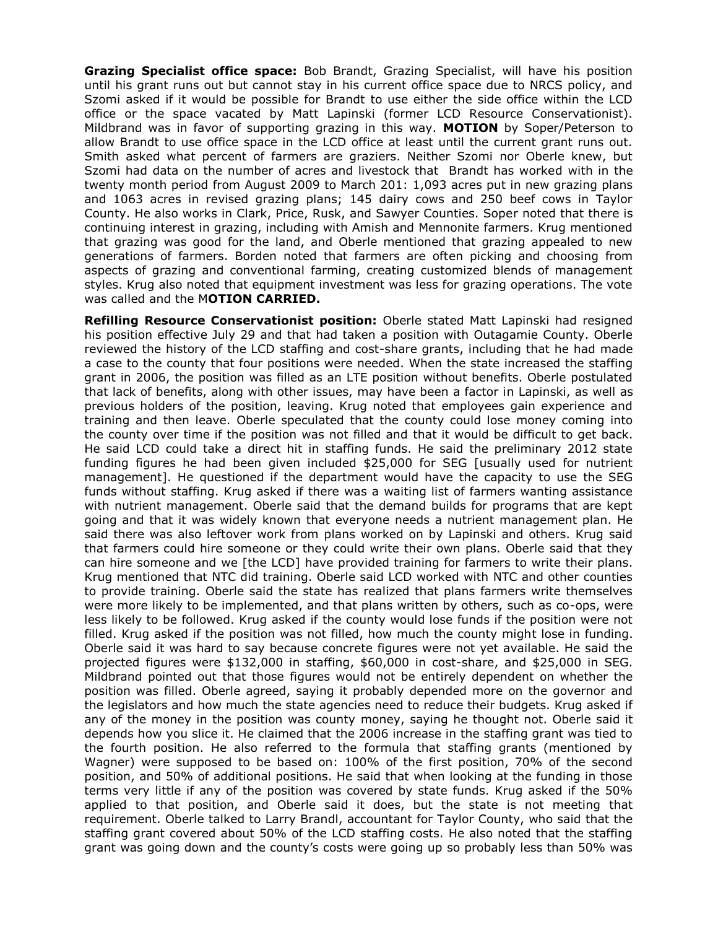**Grazing Specialist office space:** Bob Brandt, Grazing Specialist, will have his position until his grant runs out but cannot stay in his current office space due to NRCS policy, and Szomi asked if it would be possible for Brandt to use either the side office within the LCD office or the space vacated by Matt Lapinski (former LCD Resource Conservationist). Mildbrand was in favor of supporting grazing in this way. **MOTION** by Soper/Peterson to allow Brandt to use office space in the LCD office at least until the current grant runs out. Smith asked what percent of farmers are graziers. Neither Szomi nor Oberle knew, but Szomi had data on the number of acres and livestock that Brandt has worked with in the twenty month period from August 2009 to March 201: 1,093 acres put in new grazing plans and 1063 acres in revised grazing plans; 145 dairy cows and 250 beef cows in Taylor County. He also works in Clark, Price, Rusk, and Sawyer Counties. Soper noted that there is continuing interest in grazing, including with Amish and Mennonite farmers. Krug mentioned that grazing was good for the land, and Oberle mentioned that grazing appealed to new generations of farmers. Borden noted that farmers are often picking and choosing from aspects of grazing and conventional farming, creating customized blends of management styles. Krug also noted that equipment investment was less for grazing operations. The vote was called and the M**OTION CARRIED.**

**Refilling Resource Conservationist position:** Oberle stated Matt Lapinski had resigned his position effective July 29 and that had taken a position with Outagamie County. Oberle reviewed the history of the LCD staffing and cost-share grants, including that he had made a case to the county that four positions were needed. When the state increased the staffing grant in 2006, the position was filled as an LTE position without benefits. Oberle postulated that lack of benefits, along with other issues, may have been a factor in Lapinski, as well as previous holders of the position, leaving. Krug noted that employees gain experience and training and then leave. Oberle speculated that the county could lose money coming into the county over time if the position was not filled and that it would be difficult to get back. He said LCD could take a direct hit in staffing funds. He said the preliminary 2012 state funding figures he had been given included \$25,000 for SEG [usually used for nutrient management]. He questioned if the department would have the capacity to use the SEG funds without staffing. Krug asked if there was a waiting list of farmers wanting assistance with nutrient management. Oberle said that the demand builds for programs that are kept going and that it was widely known that everyone needs a nutrient management plan. He said there was also leftover work from plans worked on by Lapinski and others. Krug said that farmers could hire someone or they could write their own plans. Oberle said that they can hire someone and we [the LCD] have provided training for farmers to write their plans. Krug mentioned that NTC did training. Oberle said LCD worked with NTC and other counties to provide training. Oberle said the state has realized that plans farmers write themselves were more likely to be implemented, and that plans written by others, such as co-ops, were less likely to be followed. Krug asked if the county would lose funds if the position were not filled. Krug asked if the position was not filled, how much the county might lose in funding. Oberle said it was hard to say because concrete figures were not yet available. He said the projected figures were \$132,000 in staffing, \$60,000 in cost-share, and \$25,000 in SEG. Mildbrand pointed out that those figures would not be entirely dependent on whether the position was filled. Oberle agreed, saying it probably depended more on the governor and the legislators and how much the state agencies need to reduce their budgets. Krug asked if any of the money in the position was county money, saying he thought not. Oberle said it depends how you slice it. He claimed that the 2006 increase in the staffing grant was tied to the fourth position. He also referred to the formula that staffing grants (mentioned by Wagner) were supposed to be based on: 100% of the first position, 70% of the second position, and 50% of additional positions. He said that when looking at the funding in those terms very little if any of the position was covered by state funds. Krug asked if the 50% applied to that position, and Oberle said it does, but the state is not meeting that requirement. Oberle talked to Larry Brandl, accountant for Taylor County, who said that the staffing grant covered about 50% of the LCD staffing costs. He also noted that the staffing grant was going down and the county's costs were going up so probably less than 50% was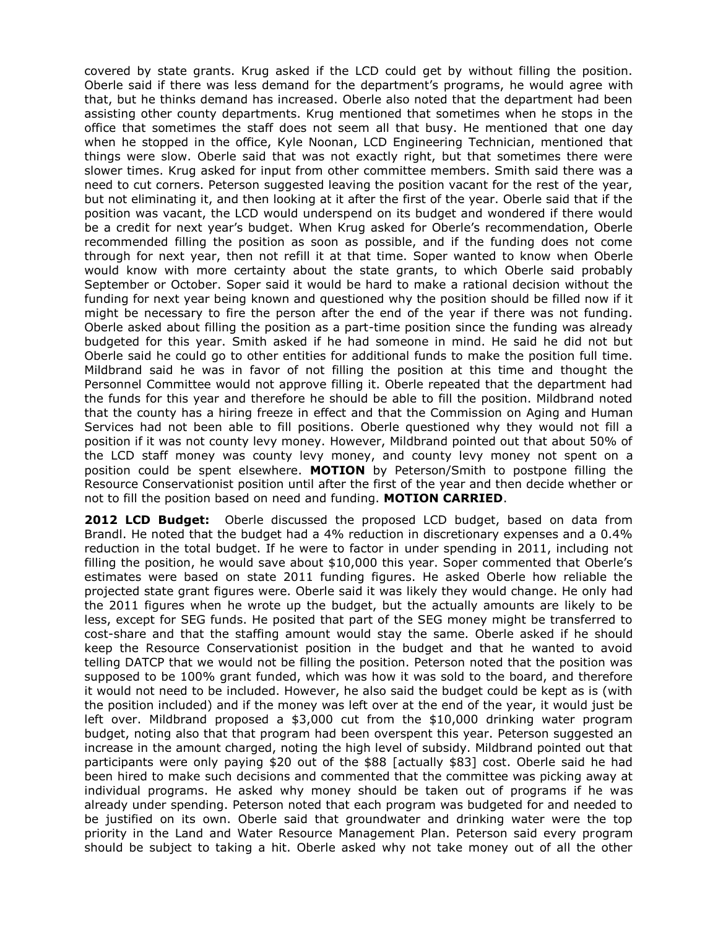covered by state grants. Krug asked if the LCD could get by without filling the position. Oberle said if there was less demand for the department's programs, he would agree with that, but he thinks demand has increased. Oberle also noted that the department had been assisting other county departments. Krug mentioned that sometimes when he stops in the office that sometimes the staff does not seem all that busy. He mentioned that one day when he stopped in the office, Kyle Noonan, LCD Engineering Technician, mentioned that things were slow. Oberle said that was not exactly right, but that sometimes there were slower times. Krug asked for input from other committee members. Smith said there was a need to cut corners. Peterson suggested leaving the position vacant for the rest of the year, but not eliminating it, and then looking at it after the first of the year. Oberle said that if the position was vacant, the LCD would underspend on its budget and wondered if there would be a credit for next year's budget. When Krug asked for Oberle's recommendation, Oberle recommended filling the position as soon as possible, and if the funding does not come through for next year, then not refill it at that time. Soper wanted to know when Oberle would know with more certainty about the state grants, to which Oberle said probably September or October. Soper said it would be hard to make a rational decision without the funding for next year being known and questioned why the position should be filled now if it might be necessary to fire the person after the end of the year if there was not funding. Oberle asked about filling the position as a part-time position since the funding was already budgeted for this year. Smith asked if he had someone in mind. He said he did not but Oberle said he could go to other entities for additional funds to make the position full time. Mildbrand said he was in favor of not filling the position at this time and thought the Personnel Committee would not approve filling it. Oberle repeated that the department had the funds for this year and therefore he should be able to fill the position. Mildbrand noted that the county has a hiring freeze in effect and that the Commission on Aging and Human Services had not been able to fill positions. Oberle questioned why they would not fill a position if it was not county levy money. However, Mildbrand pointed out that about 50% of the LCD staff money was county levy money, and county levy money not spent on a position could be spent elsewhere. **MOTION** by Peterson/Smith to postpone filling the Resource Conservationist position until after the first of the year and then decide whether or not to fill the position based on need and funding. **MOTION CARRIED**.

**2012 LCD Budget:** Oberle discussed the proposed LCD budget, based on data from Brandl. He noted that the budget had a 4% reduction in discretionary expenses and a 0.4% reduction in the total budget. If he were to factor in under spending in 2011, including not filling the position, he would save about \$10,000 this year. Soper commented that Oberle's estimates were based on state 2011 funding figures. He asked Oberle how reliable the projected state grant figures were. Oberle said it was likely they would change. He only had the 2011 figures when he wrote up the budget, but the actually amounts are likely to be less, except for SEG funds. He posited that part of the SEG money might be transferred to cost-share and that the staffing amount would stay the same. Oberle asked if he should keep the Resource Conservationist position in the budget and that he wanted to avoid telling DATCP that we would not be filling the position. Peterson noted that the position was supposed to be 100% grant funded, which was how it was sold to the board, and therefore it would not need to be included. However, he also said the budget could be kept as is (with the position included) and if the money was left over at the end of the year, it would just be left over. Mildbrand proposed a \$3,000 cut from the \$10,000 drinking water program budget, noting also that that program had been overspent this year. Peterson suggested an increase in the amount charged, noting the high level of subsidy. Mildbrand pointed out that participants were only paying \$20 out of the \$88 [actually \$83] cost. Oberle said he had been hired to make such decisions and commented that the committee was picking away at individual programs. He asked why money should be taken out of programs if he was already under spending. Peterson noted that each program was budgeted for and needed to be justified on its own. Oberle said that groundwater and drinking water were the top priority in the Land and Water Resource Management Plan. Peterson said every program should be subject to taking a hit. Oberle asked why not take money out of all the other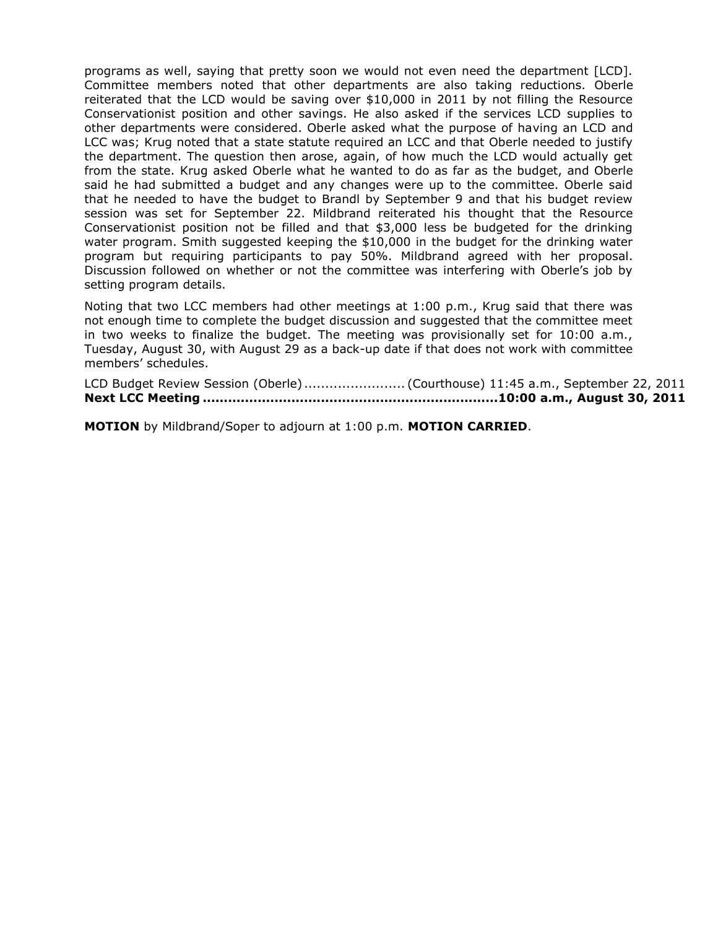programs as well, saying that pretty soon we would not even need the department [LCD]. Committee members noted that other departments are also taking reductions. Oberle reiterated that the LCD would be saving over \$10,000 in 2011 by not filling the Resource Conservationist position and other savings. He also asked if the services LCD supplies to other departments were considered. Oberle asked what the purpose of having an LCD and LCC was; Krug noted that a state statute required an LCC and that Oberle needed to justify the department. The question then arose, again, of how much the LCD would actually get from the state. Krug asked Oberle what he wanted to do as far as the budget, and Oberle said he had submitted a budget and any changes were up to the committee. Oberle said that he needed to have the budget to Brandl by September 9 and that his budget review session was set for September 22. Mildbrand reiterated his thought that the Resource Conservationist position not be filled and that \$3,000 less be budgeted for the drinking water program. Smith suggested keeping the \$10,000 in the budget for the drinking water program but requiring participants to pay 50%. Mildbrand agreed with her proposal. Discussion followed on whether or not the committee was interfering with Oberle's job by setting program details.

Noting that two LCC members had other meetings at 1:00 p.m., Krug said that there was not enough time to complete the budget discussion and suggested that the committee meet in two weeks to finalize the budget. The meeting was provisionally set for 10:00 a.m., Tuesday, August 30, with August 29 as a back-up date if that does not work with committee members' schedules.

LCD Budget Review Session (Oberle) ........................ (Courthouse) 11:45 a.m., September 22, 2011 **Next LCC Meeting ......................................................................10:00 a.m., August 30, 2011**

**MOTION** by Mildbrand/Soper to adjourn at 1:00 p.m. **MOTION CARRIED**.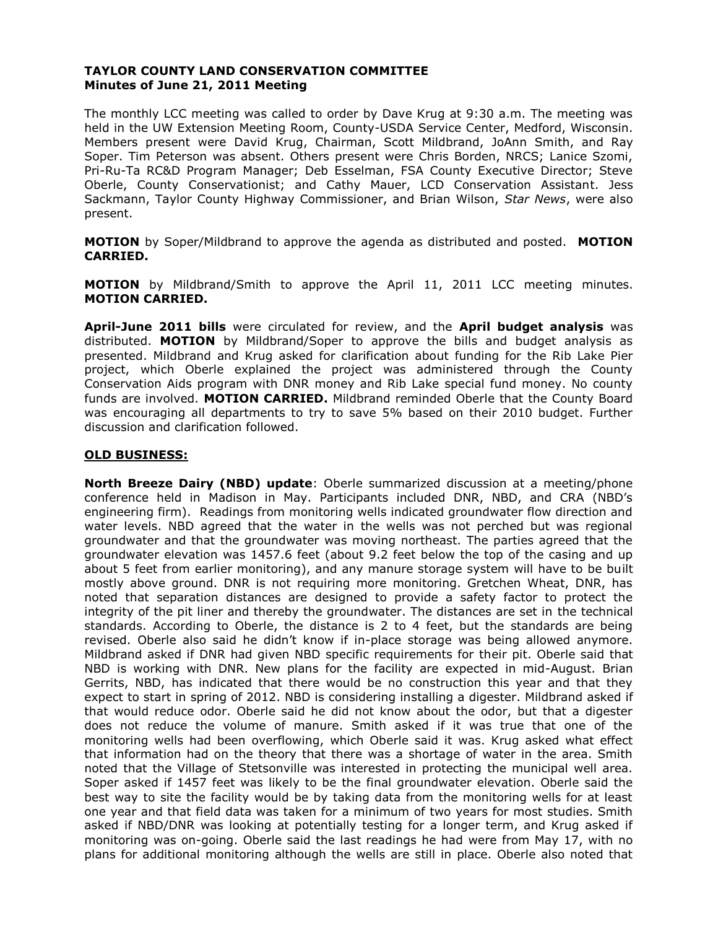# **TAYLOR COUNTY LAND CONSERVATION COMMITTEE Minutes of June 21, 2011 Meeting**

The monthly LCC meeting was called to order by Dave Krug at 9:30 a.m. The meeting was held in the UW Extension Meeting Room, County-USDA Service Center, Medford, Wisconsin. Members present were David Krug, Chairman, Scott Mildbrand, JoAnn Smith, and Ray Soper. Tim Peterson was absent. Others present were Chris Borden, NRCS; Lanice Szomi, Pri-Ru-Ta RC&D Program Manager; Deb Esselman, FSA County Executive Director; Steve Oberle, County Conservationist; and Cathy Mauer, LCD Conservation Assistant. Jess Sackmann, Taylor County Highway Commissioner, and Brian Wilson, *Star News*, were also present.

**MOTION** by Soper/Mildbrand to approve the agenda as distributed and posted. **MOTION CARRIED.**

**MOTION** by Mildbrand/Smith to approve the April 11, 2011 LCC meeting minutes. **MOTION CARRIED.**

**April-June 2011 bills** were circulated for review, and the **April budget analysis** was distributed. **MOTION** by Mildbrand/Soper to approve the bills and budget analysis as presented. Mildbrand and Krug asked for clarification about funding for the Rib Lake Pier project, which Oberle explained the project was administered through the County Conservation Aids program with DNR money and Rib Lake special fund money. No county funds are involved. **MOTION CARRIED.** Mildbrand reminded Oberle that the County Board was encouraging all departments to try to save 5% based on their 2010 budget. Further discussion and clarification followed.

# **OLD BUSINESS:**

**North Breeze Dairy (NBD) update**: Oberle summarized discussion at a meeting/phone conference held in Madison in May. Participants included DNR, NBD, and CRA (NBD's engineering firm). Readings from monitoring wells indicated groundwater flow direction and water levels. NBD agreed that the water in the wells was not perched but was regional groundwater and that the groundwater was moving northeast. The parties agreed that the groundwater elevation was 1457.6 feet (about 9.2 feet below the top of the casing and up about 5 feet from earlier monitoring), and any manure storage system will have to be built mostly above ground. DNR is not requiring more monitoring. Gretchen Wheat, DNR, has noted that separation distances are designed to provide a safety factor to protect the integrity of the pit liner and thereby the groundwater. The distances are set in the technical standards. According to Oberle, the distance is 2 to 4 feet, but the standards are being revised. Oberle also said he didn't know if in-place storage was being allowed anymore. Mildbrand asked if DNR had given NBD specific requirements for their pit. Oberle said that NBD is working with DNR. New plans for the facility are expected in mid-August. Brian Gerrits, NBD, has indicated that there would be no construction this year and that they expect to start in spring of 2012. NBD is considering installing a digester. Mildbrand asked if that would reduce odor. Oberle said he did not know about the odor, but that a digester does not reduce the volume of manure. Smith asked if it was true that one of the monitoring wells had been overflowing, which Oberle said it was. Krug asked what effect that information had on the theory that there was a shortage of water in the area. Smith noted that the Village of Stetsonville was interested in protecting the municipal well area. Soper asked if 1457 feet was likely to be the final groundwater elevation. Oberle said the best way to site the facility would be by taking data from the monitoring wells for at least one year and that field data was taken for a minimum of two years for most studies. Smith asked if NBD/DNR was looking at potentially testing for a longer term, and Krug asked if monitoring was on-going. Oberle said the last readings he had were from May 17, with no plans for additional monitoring although the wells are still in place. Oberle also noted that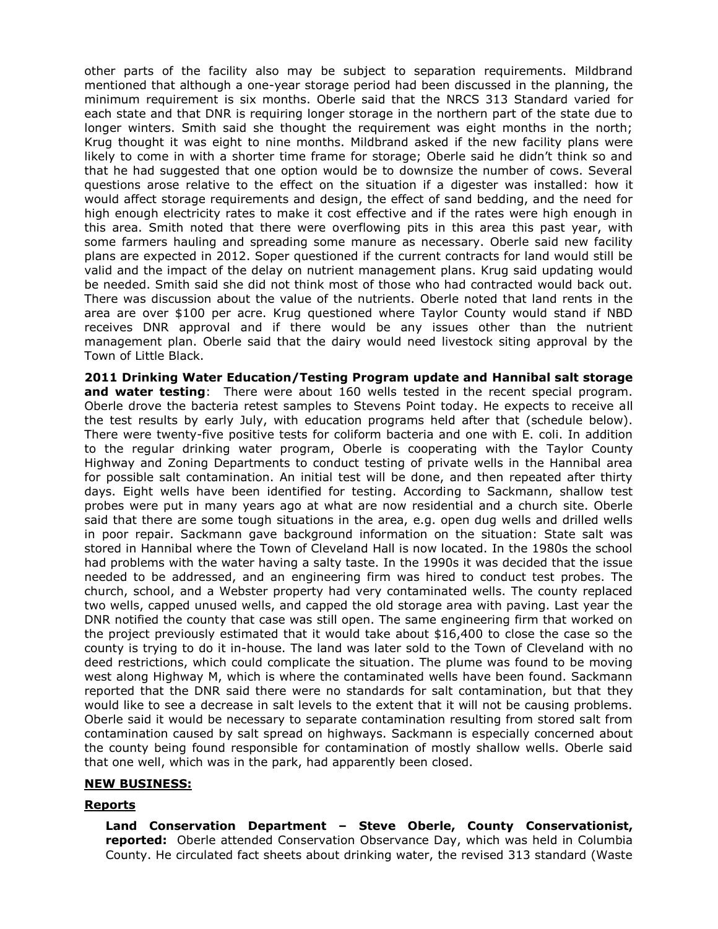other parts of the facility also may be subject to separation requirements. Mildbrand mentioned that although a one-year storage period had been discussed in the planning, the minimum requirement is six months. Oberle said that the NRCS 313 Standard varied for each state and that DNR is requiring longer storage in the northern part of the state due to longer winters. Smith said she thought the requirement was eight months in the north; Krug thought it was eight to nine months. Mildbrand asked if the new facility plans were likely to come in with a shorter time frame for storage; Oberle said he didn't think so and that he had suggested that one option would be to downsize the number of cows. Several questions arose relative to the effect on the situation if a digester was installed: how it would affect storage requirements and design, the effect of sand bedding, and the need for high enough electricity rates to make it cost effective and if the rates were high enough in this area. Smith noted that there were overflowing pits in this area this past year, with some farmers hauling and spreading some manure as necessary. Oberle said new facility plans are expected in 2012. Soper questioned if the current contracts for land would still be valid and the impact of the delay on nutrient management plans. Krug said updating would be needed. Smith said she did not think most of those who had contracted would back out. There was discussion about the value of the nutrients. Oberle noted that land rents in the area are over \$100 per acre. Krug questioned where Taylor County would stand if NBD receives DNR approval and if there would be any issues other than the nutrient management plan. Oberle said that the dairy would need livestock siting approval by the Town of Little Black.

**2011 Drinking Water Education/Testing Program update and Hannibal salt storage and water testing**: There were about 160 wells tested in the recent special program. Oberle drove the bacteria retest samples to Stevens Point today. He expects to receive all the test results by early July, with education programs held after that (schedule below). There were twenty-five positive tests for coliform bacteria and one with E. coli. In addition to the regular drinking water program, Oberle is cooperating with the Taylor County Highway and Zoning Departments to conduct testing of private wells in the Hannibal area for possible salt contamination. An initial test will be done, and then repeated after thirty days. Eight wells have been identified for testing. According to Sackmann, shallow test probes were put in many years ago at what are now residential and a church site. Oberle said that there are some tough situations in the area, e.g. open dug wells and drilled wells in poor repair. Sackmann gave background information on the situation: State salt was stored in Hannibal where the Town of Cleveland Hall is now located. In the 1980s the school had problems with the water having a salty taste. In the 1990s it was decided that the issue needed to be addressed, and an engineering firm was hired to conduct test probes. The church, school, and a Webster property had very contaminated wells. The county replaced two wells, capped unused wells, and capped the old storage area with paving. Last year the DNR notified the county that case was still open. The same engineering firm that worked on the project previously estimated that it would take about \$16,400 to close the case so the county is trying to do it in-house. The land was later sold to the Town of Cleveland with no deed restrictions, which could complicate the situation. The plume was found to be moving west along Highway M, which is where the contaminated wells have been found. Sackmann reported that the DNR said there were no standards for salt contamination, but that they would like to see a decrease in salt levels to the extent that it will not be causing problems. Oberle said it would be necessary to separate contamination resulting from stored salt from contamination caused by salt spread on highways. Sackmann is especially concerned about the county being found responsible for contamination of mostly shallow wells. Oberle said that one well, which was in the park, had apparently been closed.

# **NEW BUSINESS:**

#### **Reports**

**Land Conservation Department – Steve Oberle, County Conservationist, reported:** Oberle attended Conservation Observance Day, which was held in Columbia County. He circulated fact sheets about drinking water, the revised 313 standard (Waste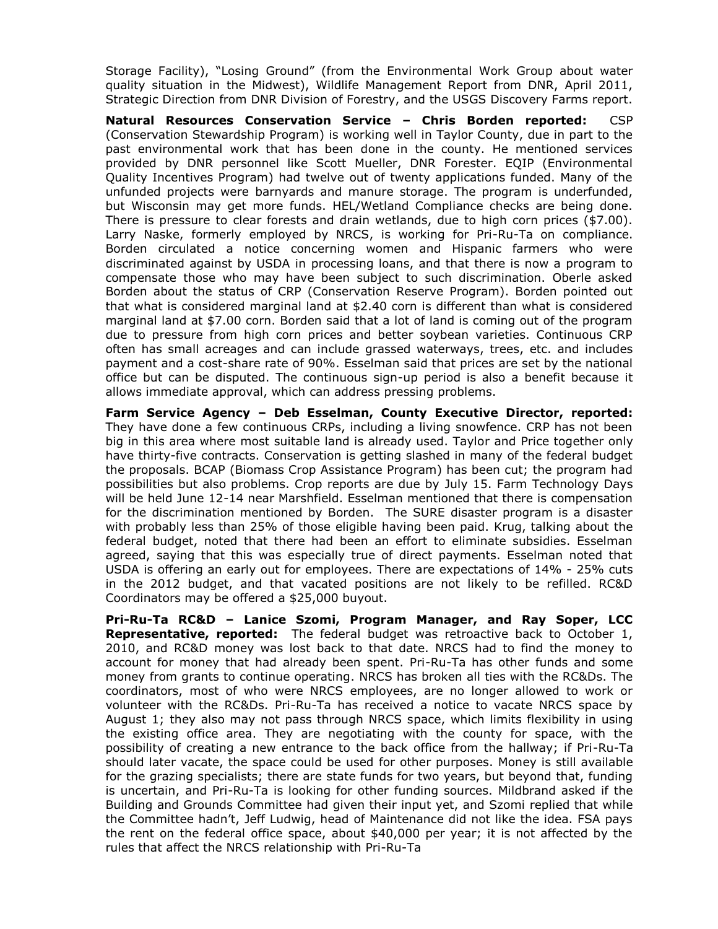Storage Facility), "Losing Ground" (from the Environmental Work Group about water quality situation in the Midwest), Wildlife Management Report from DNR, April 2011, Strategic Direction from DNR Division of Forestry, and the USGS Discovery Farms report.

**Natural Resources Conservation Service – Chris Borden reported:** CSP (Conservation Stewardship Program) is working well in Taylor County, due in part to the past environmental work that has been done in the county. He mentioned services provided by DNR personnel like Scott Mueller, DNR Forester. EQIP (Environmental Quality Incentives Program) had twelve out of twenty applications funded. Many of the unfunded projects were barnyards and manure storage. The program is underfunded, but Wisconsin may get more funds. HEL/Wetland Compliance checks are being done. There is pressure to clear forests and drain wetlands, due to high corn prices (\$7.00). Larry Naske, formerly employed by NRCS, is working for Pri-Ru-Ta on compliance. Borden circulated a notice concerning women and Hispanic farmers who were discriminated against by USDA in processing loans, and that there is now a program to compensate those who may have been subject to such discrimination. Oberle asked Borden about the status of CRP (Conservation Reserve Program). Borden pointed out that what is considered marginal land at \$2.40 corn is different than what is considered marginal land at \$7.00 corn. Borden said that a lot of land is coming out of the program due to pressure from high corn prices and better soybean varieties. Continuous CRP often has small acreages and can include grassed waterways, trees, etc. and includes payment and a cost-share rate of 90%. Esselman said that prices are set by the national office but can be disputed. The continuous sign-up period is also a benefit because it allows immediate approval, which can address pressing problems.

**Farm Service Agency – Deb Esselman, County Executive Director, reported:** They have done a few continuous CRPs, including a living snowfence. CRP has not been big in this area where most suitable land is already used. Taylor and Price together only have thirty-five contracts. Conservation is getting slashed in many of the federal budget the proposals. BCAP (Biomass Crop Assistance Program) has been cut; the program had possibilities but also problems. Crop reports are due by July 15. Farm Technology Days will be held June 12-14 near Marshfield. Esselman mentioned that there is compensation for the discrimination mentioned by Borden. The SURE disaster program is a disaster with probably less than 25% of those eligible having been paid. Krug, talking about the federal budget, noted that there had been an effort to eliminate subsidies. Esselman agreed, saying that this was especially true of direct payments. Esselman noted that USDA is offering an early out for employees. There are expectations of 14% - 25% cuts in the 2012 budget, and that vacated positions are not likely to be refilled. RC&D Coordinators may be offered a \$25,000 buyout.

**Pri-Ru-Ta RC&D – Lanice Szomi, Program Manager, and Ray Soper, LCC Representative, reported:** The federal budget was retroactive back to October 1, 2010, and RC&D money was lost back to that date. NRCS had to find the money to account for money that had already been spent. Pri-Ru-Ta has other funds and some money from grants to continue operating. NRCS has broken all ties with the RC&Ds. The coordinators, most of who were NRCS employees, are no longer allowed to work or volunteer with the RC&Ds. Pri-Ru-Ta has received a notice to vacate NRCS space by August 1; they also may not pass through NRCS space, which limits flexibility in using the existing office area. They are negotiating with the county for space, with the possibility of creating a new entrance to the back office from the hallway; if Pri-Ru-Ta should later vacate, the space could be used for other purposes. Money is still available for the grazing specialists; there are state funds for two years, but beyond that, funding is uncertain, and Pri-Ru-Ta is looking for other funding sources. Mildbrand asked if the Building and Grounds Committee had given their input yet, and Szomi replied that while the Committee hadn't, Jeff Ludwig, head of Maintenance did not like the idea. FSA pays the rent on the federal office space, about \$40,000 per year; it is not affected by the rules that affect the NRCS relationship with Pri-Ru-Ta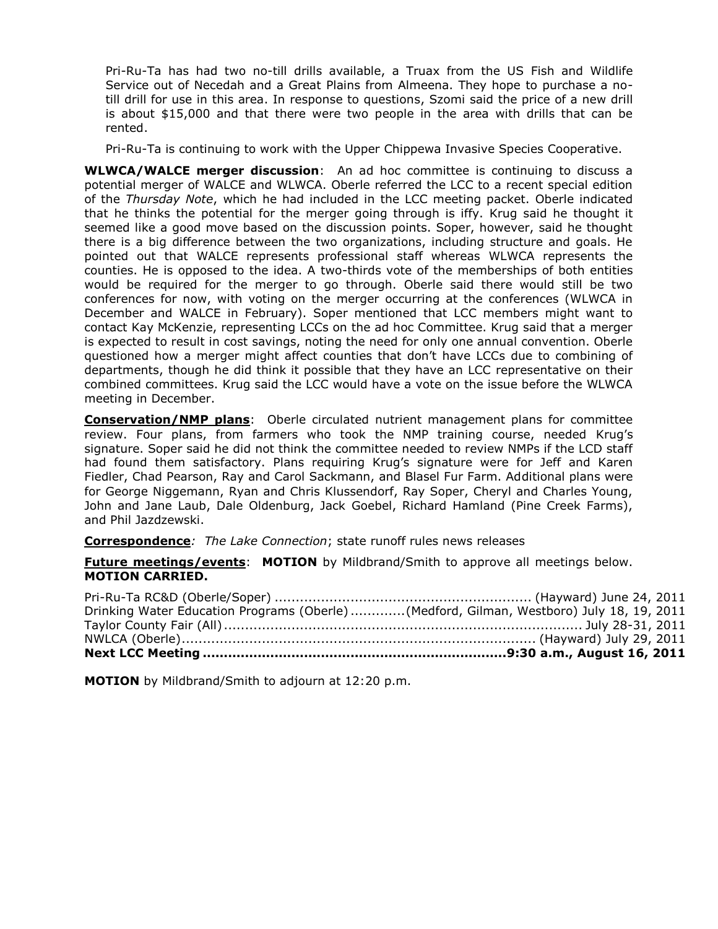Pri-Ru-Ta has had two no-till drills available, a Truax from the US Fish and Wildlife Service out of Necedah and a Great Plains from Almeena. They hope to purchase a notill drill for use in this area. In response to questions, Szomi said the price of a new drill is about \$15,000 and that there were two people in the area with drills that can be rented.

Pri-Ru-Ta is continuing to work with the Upper Chippewa Invasive Species Cooperative.

**WLWCA/WALCE merger discussion**: An ad hoc committee is continuing to discuss a potential merger of WALCE and WLWCA. Oberle referred the LCC to a recent special edition of the *Thursday Note*, which he had included in the LCC meeting packet. Oberle indicated that he thinks the potential for the merger going through is iffy. Krug said he thought it seemed like a good move based on the discussion points. Soper, however, said he thought there is a big difference between the two organizations, including structure and goals. He pointed out that WALCE represents professional staff whereas WLWCA represents the counties. He is opposed to the idea. A two-thirds vote of the memberships of both entities would be required for the merger to go through. Oberle said there would still be two conferences for now, with voting on the merger occurring at the conferences (WLWCA in December and WALCE in February). Soper mentioned that LCC members might want to contact Kay McKenzie, representing LCCs on the ad hoc Committee. Krug said that a merger is expected to result in cost savings, noting the need for only one annual convention. Oberle questioned how a merger might affect counties that don't have LCCs due to combining of departments, though he did think it possible that they have an LCC representative on their combined committees. Krug said the LCC would have a vote on the issue before the WLWCA meeting in December.

**Conservation/NMP plans**: Oberle circulated nutrient management plans for committee review. Four plans, from farmers who took the NMP training course, needed Krug's signature. Soper said he did not think the committee needed to review NMPs if the LCD staff had found them satisfactory. Plans requiring Krug's signature were for Jeff and Karen Fiedler, Chad Pearson, Ray and Carol Sackmann, and Blasel Fur Farm. Additional plans were for George Niggemann, Ryan and Chris Klussendorf, Ray Soper, Cheryl and Charles Young, John and Jane Laub, Dale Oldenburg, Jack Goebel, Richard Hamland (Pine Creek Farms), and Phil Jazdzewski.

**Correspondence***: The Lake Connection*; state runoff rules news releases

**Future meetings/events**: **MOTION** by Mildbrand/Smith to approve all meetings below. **MOTION CARRIED.**

| Drinking Water Education Programs (Oberle)(Medford, Gilman, Westboro) July 18, 19, 2011 |  |
|-----------------------------------------------------------------------------------------|--|
|                                                                                         |  |
|                                                                                         |  |
|                                                                                         |  |

**MOTION** by Mildbrand/Smith to adjourn at 12:20 p.m.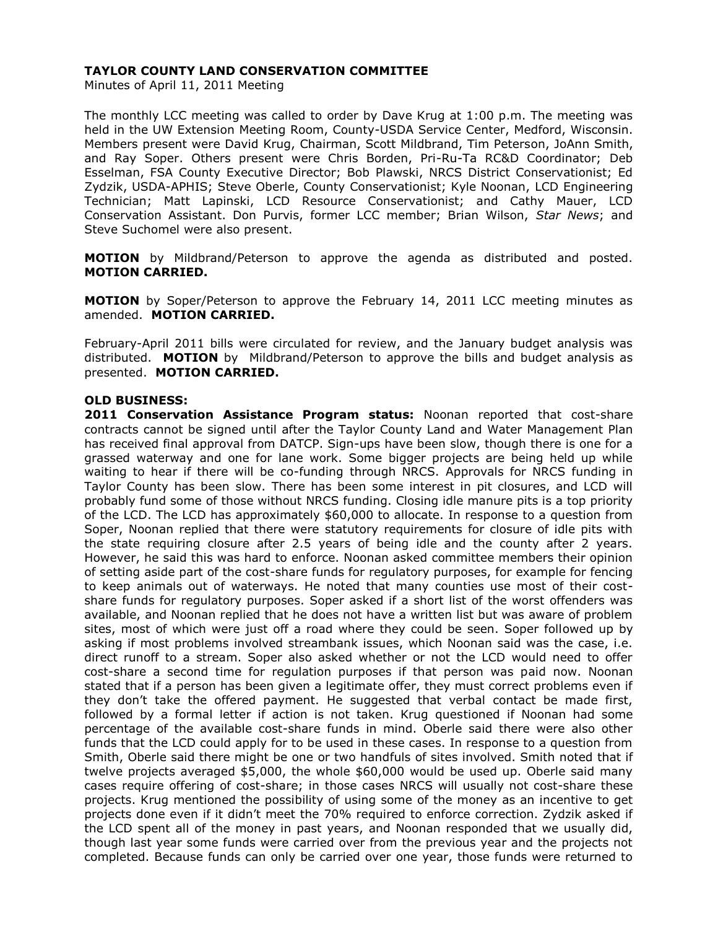# **TAYLOR COUNTY LAND CONSERVATION COMMITTEE**

Minutes of April 11, 2011 Meeting

The monthly LCC meeting was called to order by Dave Krug at 1:00 p.m. The meeting was held in the UW Extension Meeting Room, County-USDA Service Center, Medford, Wisconsin. Members present were David Krug, Chairman, Scott Mildbrand, Tim Peterson, JoAnn Smith, and Ray Soper. Others present were Chris Borden, Pri-Ru-Ta RC&D Coordinator; Deb Esselman, FSA County Executive Director; Bob Plawski, NRCS District Conservationist; Ed Zydzik, USDA-APHIS; Steve Oberle, County Conservationist; Kyle Noonan, LCD Engineering Technician; Matt Lapinski, LCD Resource Conservationist; and Cathy Mauer, LCD Conservation Assistant. Don Purvis, former LCC member; Brian Wilson, *Star News*; and Steve Suchomel were also present.

**MOTION** by Mildbrand/Peterson to approve the agenda as distributed and posted. **MOTION CARRIED.**

**MOTION** by Soper/Peterson to approve the February 14, 2011 LCC meeting minutes as amended. **MOTION CARRIED.**

February-April 2011 bills were circulated for review, and the January budget analysis was distributed. **MOTION** by Mildbrand/Peterson to approve the bills and budget analysis as presented. **MOTION CARRIED.**

#### **OLD BUSINESS:**

**2011 Conservation Assistance Program status:** Noonan reported that cost-share contracts cannot be signed until after the Taylor County Land and Water Management Plan has received final approval from DATCP. Sign-ups have been slow, though there is one for a grassed waterway and one for lane work. Some bigger projects are being held up while waiting to hear if there will be co-funding through NRCS. Approvals for NRCS funding in Taylor County has been slow. There has been some interest in pit closures, and LCD will probably fund some of those without NRCS funding. Closing idle manure pits is a top priority of the LCD. The LCD has approximately \$60,000 to allocate. In response to a question from Soper, Noonan replied that there were statutory requirements for closure of idle pits with the state requiring closure after 2.5 years of being idle and the county after 2 years. However, he said this was hard to enforce. Noonan asked committee members their opinion of setting aside part of the cost-share funds for regulatory purposes, for example for fencing to keep animals out of waterways. He noted that many counties use most of their costshare funds for regulatory purposes. Soper asked if a short list of the worst offenders was available, and Noonan replied that he does not have a written list but was aware of problem sites, most of which were just off a road where they could be seen. Soper followed up by asking if most problems involved streambank issues, which Noonan said was the case, i.e. direct runoff to a stream. Soper also asked whether or not the LCD would need to offer cost-share a second time for regulation purposes if that person was paid now. Noonan stated that if a person has been given a legitimate offer, they must correct problems even if they don't take the offered payment. He suggested that verbal contact be made first, followed by a formal letter if action is not taken. Krug questioned if Noonan had some percentage of the available cost-share funds in mind. Oberle said there were also other funds that the LCD could apply for to be used in these cases. In response to a question from Smith, Oberle said there might be one or two handfuls of sites involved. Smith noted that if twelve projects averaged \$5,000, the whole \$60,000 would be used up. Oberle said many cases require offering of cost-share; in those cases NRCS will usually not cost-share these projects. Krug mentioned the possibility of using some of the money as an incentive to get projects done even if it didn't meet the 70% required to enforce correction. Zydzik asked if the LCD spent all of the money in past years, and Noonan responded that we usually did, though last year some funds were carried over from the previous year and the projects not completed. Because funds can only be carried over one year, those funds were returned to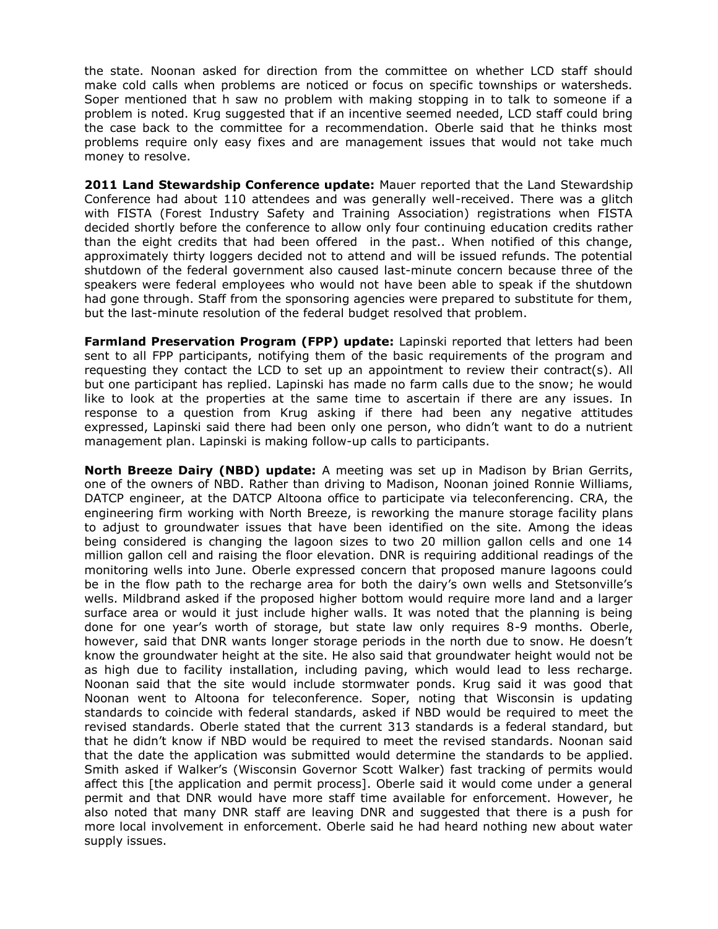the state. Noonan asked for direction from the committee on whether LCD staff should make cold calls when problems are noticed or focus on specific townships or watersheds. Soper mentioned that h saw no problem with making stopping in to talk to someone if a problem is noted. Krug suggested that if an incentive seemed needed, LCD staff could bring the case back to the committee for a recommendation. Oberle said that he thinks most problems require only easy fixes and are management issues that would not take much money to resolve.

**2011 Land Stewardship Conference update:** Mauer reported that the Land Stewardship Conference had about 110 attendees and was generally well-received. There was a glitch with FISTA (Forest Industry Safety and Training Association) registrations when FISTA decided shortly before the conference to allow only four continuing education credits rather than the eight credits that had been offered in the past.. When notified of this change, approximately thirty loggers decided not to attend and will be issued refunds. The potential shutdown of the federal government also caused last-minute concern because three of the speakers were federal employees who would not have been able to speak if the shutdown had gone through. Staff from the sponsoring agencies were prepared to substitute for them, but the last-minute resolution of the federal budget resolved that problem.

**Farmland Preservation Program (FPP) update:** Lapinski reported that letters had been sent to all FPP participants, notifying them of the basic requirements of the program and requesting they contact the LCD to set up an appointment to review their contract(s). All but one participant has replied. Lapinski has made no farm calls due to the snow; he would like to look at the properties at the same time to ascertain if there are any issues. In response to a question from Krug asking if there had been any negative attitudes expressed, Lapinski said there had been only one person, who didn't want to do a nutrient management plan. Lapinski is making follow-up calls to participants.

**North Breeze Dairy (NBD) update:** A meeting was set up in Madison by Brian Gerrits, one of the owners of NBD. Rather than driving to Madison, Noonan joined Ronnie Williams, DATCP engineer, at the DATCP Altoona office to participate via teleconferencing. CRA, the engineering firm working with North Breeze, is reworking the manure storage facility plans to adjust to groundwater issues that have been identified on the site. Among the ideas being considered is changing the lagoon sizes to two 20 million gallon cells and one 14 million gallon cell and raising the floor elevation. DNR is requiring additional readings of the monitoring wells into June. Oberle expressed concern that proposed manure lagoons could be in the flow path to the recharge area for both the dairy's own wells and Stetsonville's wells. Mildbrand asked if the proposed higher bottom would require more land and a larger surface area or would it just include higher walls. It was noted that the planning is being done for one year's worth of storage, but state law only requires 8-9 months. Oberle, however, said that DNR wants longer storage periods in the north due to snow. He doesn't know the groundwater height at the site. He also said that groundwater height would not be as high due to facility installation, including paving, which would lead to less recharge. Noonan said that the site would include stormwater ponds. Krug said it was good that Noonan went to Altoona for teleconference. Soper, noting that Wisconsin is updating standards to coincide with federal standards, asked if NBD would be required to meet the revised standards. Oberle stated that the current 313 standards is a federal standard, but that he didn't know if NBD would be required to meet the revised standards. Noonan said that the date the application was submitted would determine the standards to be applied. Smith asked if Walker's (Wisconsin Governor Scott Walker) fast tracking of permits would affect this [the application and permit process]. Oberle said it would come under a general permit and that DNR would have more staff time available for enforcement. However, he also noted that many DNR staff are leaving DNR and suggested that there is a push for more local involvement in enforcement. Oberle said he had heard nothing new about water supply issues.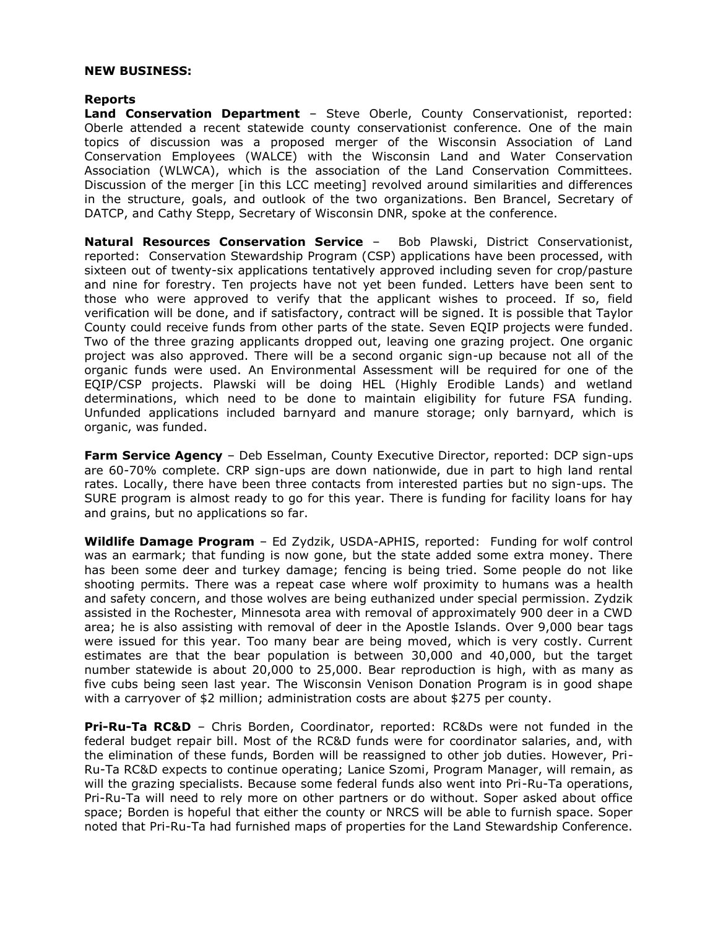#### **NEW BUSINESS:**

#### **Reports**

**Land Conservation Department** – Steve Oberle, County Conservationist, reported: Oberle attended a recent statewide county conservationist conference. One of the main topics of discussion was a proposed merger of the Wisconsin Association of Land Conservation Employees (WALCE) with the Wisconsin Land and Water Conservation Association (WLWCA), which is the association of the Land Conservation Committees. Discussion of the merger [in this LCC meeting] revolved around similarities and differences in the structure, goals, and outlook of the two organizations. Ben Brancel, Secretary of DATCP, and Cathy Stepp, Secretary of Wisconsin DNR, spoke at the conference.

**Natural Resources Conservation Service** – Bob Plawski, District Conservationist, reported: Conservation Stewardship Program (CSP) applications have been processed, with sixteen out of twenty-six applications tentatively approved including seven for crop/pasture and nine for forestry. Ten projects have not yet been funded. Letters have been sent to those who were approved to verify that the applicant wishes to proceed. If so, field verification will be done, and if satisfactory, contract will be signed. It is possible that Taylor County could receive funds from other parts of the state. Seven EQIP projects were funded. Two of the three grazing applicants dropped out, leaving one grazing project. One organic project was also approved. There will be a second organic sign-up because not all of the organic funds were used. An Environmental Assessment will be required for one of the EQIP/CSP projects. Plawski will be doing HEL (Highly Erodible Lands) and wetland determinations, which need to be done to maintain eligibility for future FSA funding. Unfunded applications included barnyard and manure storage; only barnyard, which is organic, was funded.

**Farm Service Agency** - Deb Esselman, County Executive Director, reported: DCP sign-ups are 60-70% complete. CRP sign-ups are down nationwide, due in part to high land rental rates. Locally, there have been three contacts from interested parties but no sign-ups. The SURE program is almost ready to go for this year. There is funding for facility loans for hay and grains, but no applications so far.

**Wildlife Damage Program** – Ed Zydzik, USDA-APHIS, reported: Funding for wolf control was an earmark; that funding is now gone, but the state added some extra money. There has been some deer and turkey damage; fencing is being tried. Some people do not like shooting permits. There was a repeat case where wolf proximity to humans was a health and safety concern, and those wolves are being euthanized under special permission. Zydzik assisted in the Rochester, Minnesota area with removal of approximately 900 deer in a CWD area; he is also assisting with removal of deer in the Apostle Islands. Over 9,000 bear tags were issued for this year. Too many bear are being moved, which is very costly. Current estimates are that the bear population is between 30,000 and 40,000, but the target number statewide is about 20,000 to 25,000. Bear reproduction is high, with as many as five cubs being seen last year. The Wisconsin Venison Donation Program is in good shape with a carryover of \$2 million; administration costs are about \$275 per county.

**Pri-Ru-Ta RC&D** – Chris Borden, Coordinator, reported: RC&Ds were not funded in the federal budget repair bill. Most of the RC&D funds were for coordinator salaries, and, with the elimination of these funds, Borden will be reassigned to other job duties. However, Pri-Ru-Ta RC&D expects to continue operating; Lanice Szomi, Program Manager, will remain, as will the grazing specialists. Because some federal funds also went into Pri-Ru-Ta operations, Pri-Ru-Ta will need to rely more on other partners or do without. Soper asked about office space; Borden is hopeful that either the county or NRCS will be able to furnish space. Soper noted that Pri-Ru-Ta had furnished maps of properties for the Land Stewardship Conference.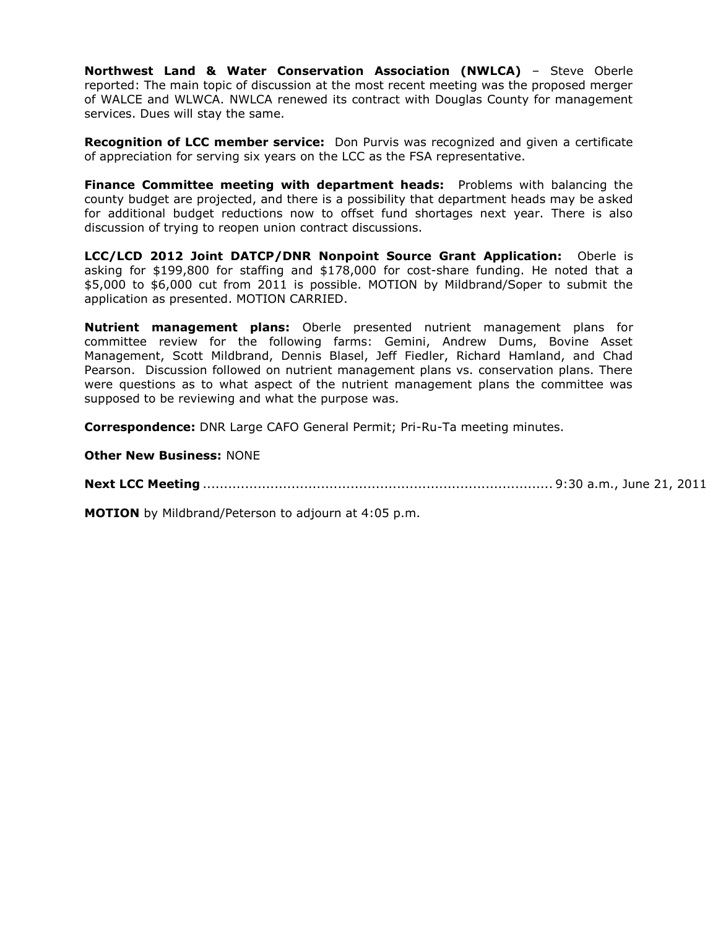**Northwest Land & Water Conservation Association (NWLCA)** – Steve Oberle reported: The main topic of discussion at the most recent meeting was the proposed merger of WALCE and WLWCA. NWLCA renewed its contract with Douglas County for management services. Dues will stay the same.

**Recognition of LCC member service:** Don Purvis was recognized and given a certificate of appreciation for serving six years on the LCC as the FSA representative.

**Finance Committee meeting with department heads:** Problems with balancing the county budget are projected, and there is a possibility that department heads may be asked for additional budget reductions now to offset fund shortages next year. There is also discussion of trying to reopen union contract discussions.

**LCC/LCD 2012 Joint DATCP/DNR Nonpoint Source Grant Application:** Oberle is asking for \$199,800 for staffing and \$178,000 for cost-share funding. He noted that a \$5,000 to \$6,000 cut from 2011 is possible. MOTION by Mildbrand/Soper to submit the application as presented. MOTION CARRIED.

**Nutrient management plans:** Oberle presented nutrient management plans for committee review for the following farms: Gemini, Andrew Dums, Bovine Asset Management, Scott Mildbrand, Dennis Blasel, Jeff Fiedler, Richard Hamland, and Chad Pearson. Discussion followed on nutrient management plans vs. conservation plans. There were questions as to what aspect of the nutrient management plans the committee was supposed to be reviewing and what the purpose was.

**Correspondence:** DNR Large CAFO General Permit; Pri-Ru-Ta meeting minutes.

**Other New Business:** NONE

**Next LCC Meeting** ................................................................................... 9:30 a.m., June 21, 2011

**MOTION** by Mildbrand/Peterson to adjourn at 4:05 p.m.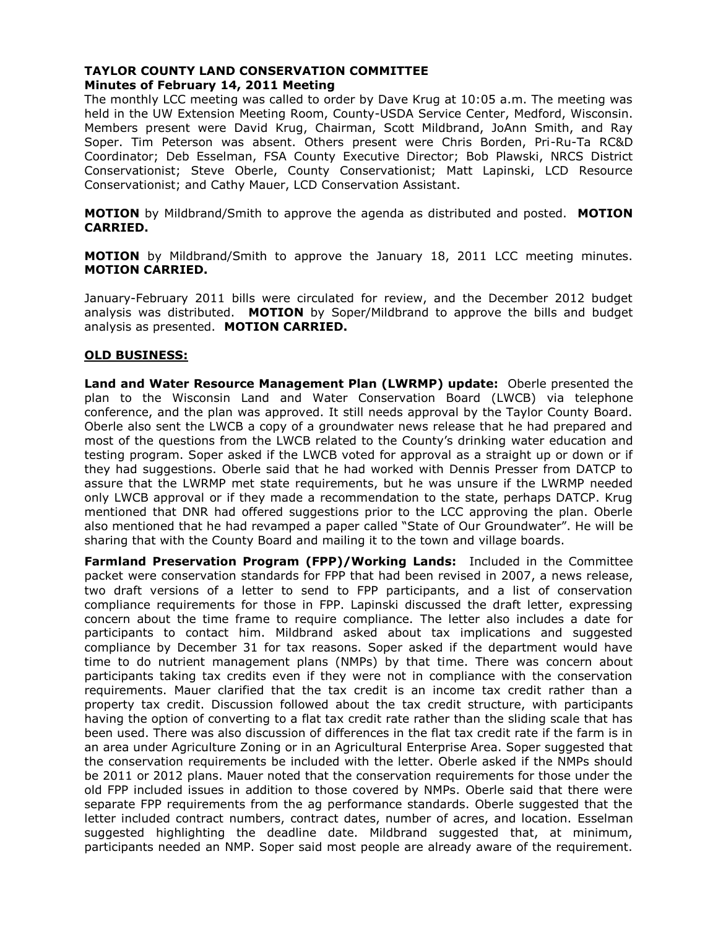# **TAYLOR COUNTY LAND CONSERVATION COMMITTEE Minutes of February 14, 2011 Meeting**

The monthly LCC meeting was called to order by Dave Krug at 10:05 a.m. The meeting was held in the UW Extension Meeting Room, County-USDA Service Center, Medford, Wisconsin. Members present were David Krug, Chairman, Scott Mildbrand, JoAnn Smith, and Ray Soper. Tim Peterson was absent. Others present were Chris Borden, Pri-Ru-Ta RC&D Coordinator; Deb Esselman, FSA County Executive Director; Bob Plawski, NRCS District Conservationist; Steve Oberle, County Conservationist; Matt Lapinski, LCD Resource Conservationist; and Cathy Mauer, LCD Conservation Assistant.

**MOTION** by Mildbrand/Smith to approve the agenda as distributed and posted. **MOTION CARRIED.**

**MOTION** by Mildbrand/Smith to approve the January 18, 2011 LCC meeting minutes. **MOTION CARRIED.**

January-February 2011 bills were circulated for review, and the December 2012 budget analysis was distributed. **MOTION** by Soper/Mildbrand to approve the bills and budget analysis as presented. **MOTION CARRIED.**

# **OLD BUSINESS:**

**Land and Water Resource Management Plan (LWRMP) update:** Oberle presented the plan to the Wisconsin Land and Water Conservation Board (LWCB) via telephone conference, and the plan was approved. It still needs approval by the Taylor County Board. Oberle also sent the LWCB a copy of a groundwater news release that he had prepared and most of the questions from the LWCB related to the County's drinking water education and testing program. Soper asked if the LWCB voted for approval as a straight up or down or if they had suggestions. Oberle said that he had worked with Dennis Presser from DATCP to assure that the LWRMP met state requirements, but he was unsure if the LWRMP needed only LWCB approval or if they made a recommendation to the state, perhaps DATCP. Krug mentioned that DNR had offered suggestions prior to the LCC approving the plan. Oberle also mentioned that he had revamped a paper called "State of Our Groundwater". He will be sharing that with the County Board and mailing it to the town and village boards.

**Farmland Preservation Program (FPP)/Working Lands:** Included in the Committee packet were conservation standards for FPP that had been revised in 2007, a news release, two draft versions of a letter to send to FPP participants, and a list of conservation compliance requirements for those in FPP. Lapinski discussed the draft letter, expressing concern about the time frame to require compliance. The letter also includes a date for participants to contact him. Mildbrand asked about tax implications and suggested compliance by December 31 for tax reasons. Soper asked if the department would have time to do nutrient management plans (NMPs) by that time. There was concern about participants taking tax credits even if they were not in compliance with the conservation requirements. Mauer clarified that the tax credit is an income tax credit rather than a property tax credit. Discussion followed about the tax credit structure, with participants having the option of converting to a flat tax credit rate rather than the sliding scale that has been used. There was also discussion of differences in the flat tax credit rate if the farm is in an area under Agriculture Zoning or in an Agricultural Enterprise Area. Soper suggested that the conservation requirements be included with the letter. Oberle asked if the NMPs should be 2011 or 2012 plans. Mauer noted that the conservation requirements for those under the old FPP included issues in addition to those covered by NMPs. Oberle said that there were separate FPP requirements from the ag performance standards. Oberle suggested that the letter included contract numbers, contract dates, number of acres, and location. Esselman suggested highlighting the deadline date. Mildbrand suggested that, at minimum, participants needed an NMP. Soper said most people are already aware of the requirement.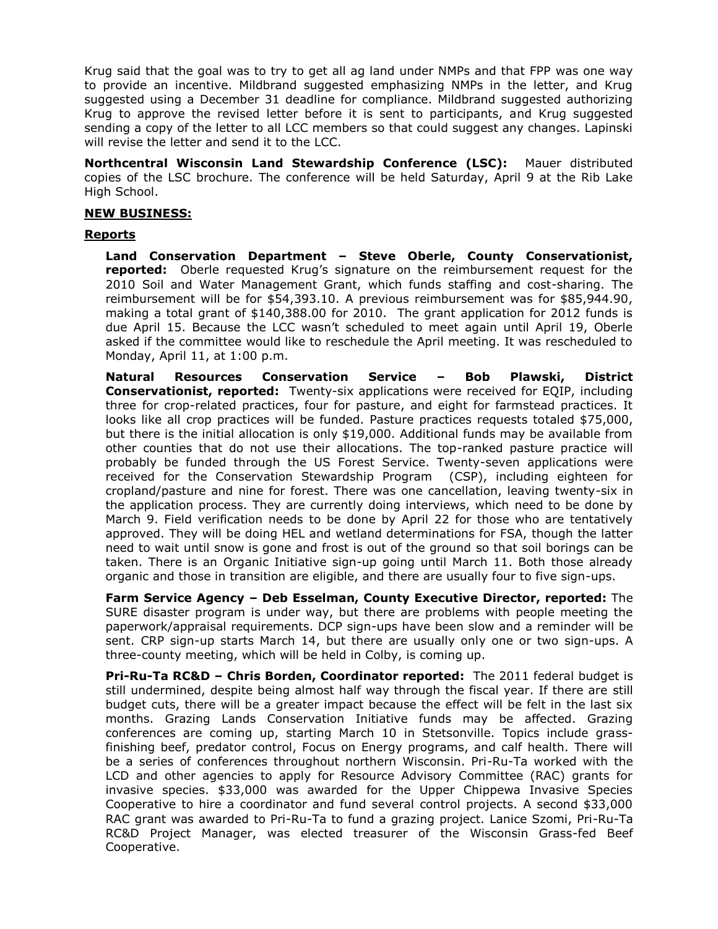Krug said that the goal was to try to get all ag land under NMPs and that FPP was one way to provide an incentive. Mildbrand suggested emphasizing NMPs in the letter, and Krug suggested using a December 31 deadline for compliance. Mildbrand suggested authorizing Krug to approve the revised letter before it is sent to participants, and Krug suggested sending a copy of the letter to all LCC members so that could suggest any changes. Lapinski will revise the letter and send it to the LCC.

**Northcentral Wisconsin Land Stewardship Conference (LSC):** Mauer distributed copies of the LSC brochure. The conference will be held Saturday, April 9 at the Rib Lake High School.

#### **NEW BUSINESS:**

#### **Reports**

**Land Conservation Department – Steve Oberle, County Conservationist, reported:** Oberle requested Krug's signature on the reimbursement request for the 2010 Soil and Water Management Grant, which funds staffing and cost-sharing. The reimbursement will be for \$54,393.10. A previous reimbursement was for \$85,944.90, making a total grant of \$140,388.00 for 2010. The grant application for 2012 funds is due April 15. Because the LCC wasn't scheduled to meet again until April 19, Oberle asked if the committee would like to reschedule the April meeting. It was rescheduled to Monday, April 11, at 1:00 p.m.

**Natural Resources Conservation Service – Bob Plawski, District Conservationist, reported:** Twenty-six applications were received for EQIP, including three for crop-related practices, four for pasture, and eight for farmstead practices. It looks like all crop practices will be funded. Pasture practices requests totaled \$75,000, but there is the initial allocation is only \$19,000. Additional funds may be available from other counties that do not use their allocations. The top-ranked pasture practice will probably be funded through the US Forest Service. Twenty-seven applications were received for the Conservation Stewardship Program (CSP), including eighteen for cropland/pasture and nine for forest. There was one cancellation, leaving twenty-six in the application process. They are currently doing interviews, which need to be done by March 9. Field verification needs to be done by April 22 for those who are tentatively approved. They will be doing HEL and wetland determinations for FSA, though the latter need to wait until snow is gone and frost is out of the ground so that soil borings can be taken. There is an Organic Initiative sign-up going until March 11. Both those already organic and those in transition are eligible, and there are usually four to five sign-ups.

**Farm Service Agency – Deb Esselman, County Executive Director, reported:** The SURE disaster program is under way, but there are problems with people meeting the paperwork/appraisal requirements. DCP sign-ups have been slow and a reminder will be sent. CRP sign-up starts March 14, but there are usually only one or two sign-ups. A three-county meeting, which will be held in Colby, is coming up.

**Pri-Ru-Ta RC&D – Chris Borden, Coordinator reported:** The 2011 federal budget is still undermined, despite being almost half way through the fiscal year. If there are still budget cuts, there will be a greater impact because the effect will be felt in the last six months. Grazing Lands Conservation Initiative funds may be affected. Grazing conferences are coming up, starting March 10 in Stetsonville. Topics include grassfinishing beef, predator control, Focus on Energy programs, and calf health. There will be a series of conferences throughout northern Wisconsin. Pri-Ru-Ta worked with the LCD and other agencies to apply for Resource Advisory Committee (RAC) grants for invasive species. \$33,000 was awarded for the Upper Chippewa Invasive Species Cooperative to hire a coordinator and fund several control projects. A second \$33,000 RAC grant was awarded to Pri-Ru-Ta to fund a grazing project. Lanice Szomi, Pri-Ru-Ta RC&D Project Manager, was elected treasurer of the Wisconsin Grass-fed Beef Cooperative.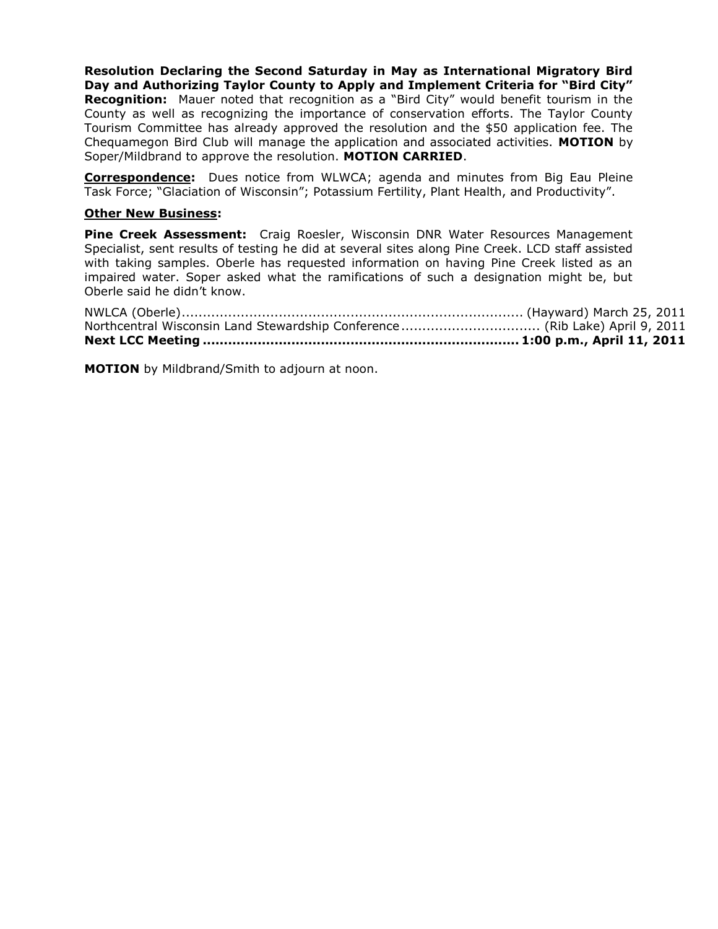**Resolution Declaring the Second Saturday in May as International Migratory Bird Day and Authorizing Taylor County to Apply and Implement Criteria for "Bird City" Recognition:** Mauer noted that recognition as a "Bird City" would benefit tourism in the County as well as recognizing the importance of conservation efforts. The Taylor County Tourism Committee has already approved the resolution and the \$50 application fee. The Chequamegon Bird Club will manage the application and associated activities. **MOTION** by Soper/Mildbrand to approve the resolution. **MOTION CARRIED**.

**Correspondence:** Dues notice from WLWCA; agenda and minutes from Big Eau Pleine Task Force; "Glaciation of Wisconsin"; Potassium Fertility, Plant Health, and Productivity".

# **Other New Business:**

**Pine Creek Assessment:** Craig Roesler, Wisconsin DNR Water Resources Management Specialist, sent results of testing he did at several sites along Pine Creek. LCD staff assisted with taking samples. Oberle has requested information on having Pine Creek listed as an impaired water. Soper asked what the ramifications of such a designation might be, but Oberle said he didn't know.

**MOTION** by Mildbrand/Smith to adjourn at noon.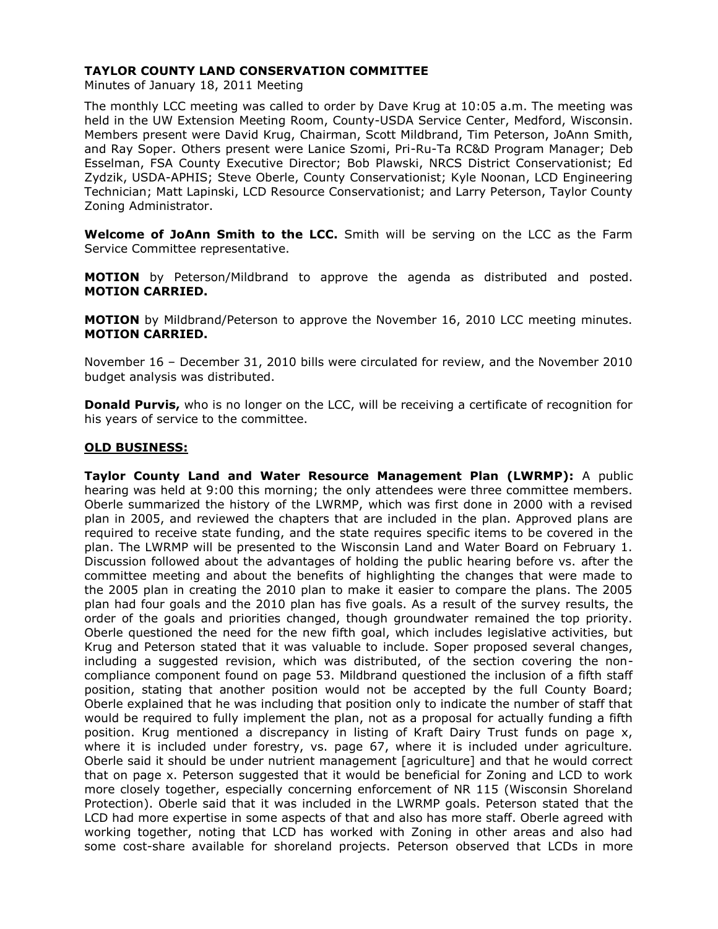# **TAYLOR COUNTY LAND CONSERVATION COMMITTEE**

Minutes of January 18, 2011 Meeting

The monthly LCC meeting was called to order by Dave Krug at 10:05 a.m. The meeting was held in the UW Extension Meeting Room, County-USDA Service Center, Medford, Wisconsin. Members present were David Krug, Chairman, Scott Mildbrand, Tim Peterson, JoAnn Smith, and Ray Soper. Others present were Lanice Szomi, Pri-Ru-Ta RC&D Program Manager; Deb Esselman, FSA County Executive Director; Bob Plawski, NRCS District Conservationist; Ed Zydzik, USDA-APHIS; Steve Oberle, County Conservationist; Kyle Noonan, LCD Engineering Technician; Matt Lapinski, LCD Resource Conservationist; and Larry Peterson, Taylor County Zoning Administrator.

**Welcome of JoAnn Smith to the LCC.** Smith will be serving on the LCC as the Farm Service Committee representative.

**MOTION** by Peterson/Mildbrand to approve the agenda as distributed and posted. **MOTION CARRIED.**

**MOTION** by Mildbrand/Peterson to approve the November 16, 2010 LCC meeting minutes. **MOTION CARRIED.**

November 16 – December 31, 2010 bills were circulated for review, and the November 2010 budget analysis was distributed.

**Donald Purvis,** who is no longer on the LCC, will be receiving a certificate of recognition for his years of service to the committee.

# **OLD BUSINESS:**

**Taylor County Land and Water Resource Management Plan (LWRMP):** A public hearing was held at 9:00 this morning; the only attendees were three committee members. Oberle summarized the history of the LWRMP, which was first done in 2000 with a revised plan in 2005, and reviewed the chapters that are included in the plan. Approved plans are required to receive state funding, and the state requires specific items to be covered in the plan. The LWRMP will be presented to the Wisconsin Land and Water Board on February 1. Discussion followed about the advantages of holding the public hearing before vs. after the committee meeting and about the benefits of highlighting the changes that were made to the 2005 plan in creating the 2010 plan to make it easier to compare the plans. The 2005 plan had four goals and the 2010 plan has five goals. As a result of the survey results, the order of the goals and priorities changed, though groundwater remained the top priority. Oberle questioned the need for the new fifth goal, which includes legislative activities, but Krug and Peterson stated that it was valuable to include. Soper proposed several changes, including a suggested revision, which was distributed, of the section covering the noncompliance component found on page 53. Mildbrand questioned the inclusion of a fifth staff position, stating that another position would not be accepted by the full County Board; Oberle explained that he was including that position only to indicate the number of staff that would be required to fully implement the plan, not as a proposal for actually funding a fifth position. Krug mentioned a discrepancy in listing of Kraft Dairy Trust funds on page x, where it is included under forestry, vs. page 67, where it is included under agriculture. Oberle said it should be under nutrient management [agriculture] and that he would correct that on page x. Peterson suggested that it would be beneficial for Zoning and LCD to work more closely together, especially concerning enforcement of NR 115 (Wisconsin Shoreland Protection). Oberle said that it was included in the LWRMP goals. Peterson stated that the LCD had more expertise in some aspects of that and also has more staff. Oberle agreed with working together, noting that LCD has worked with Zoning in other areas and also had some cost-share available for shoreland projects. Peterson observed that LCDs in more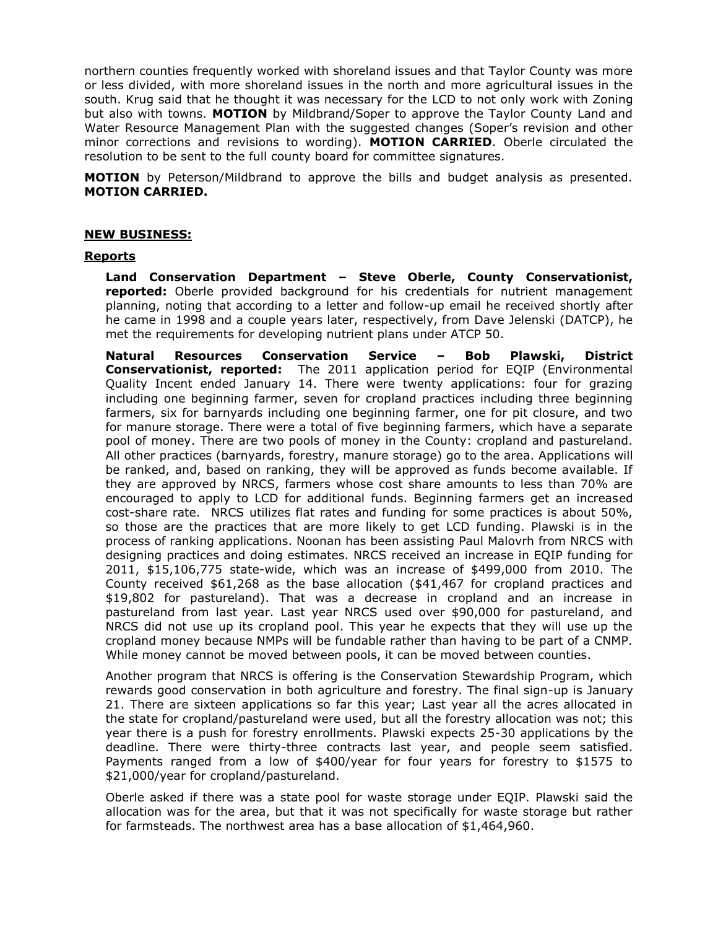northern counties frequently worked with shoreland issues and that Taylor County was more or less divided, with more shoreland issues in the north and more agricultural issues in the south. Krug said that he thought it was necessary for the LCD to not only work with Zoning but also with towns. **MOTION** by Mildbrand/Soper to approve the Taylor County Land and Water Resource Management Plan with the suggested changes (Soper's revision and other minor corrections and revisions to wording). **MOTION CARRIED**. Oberle circulated the resolution to be sent to the full county board for committee signatures.

**MOTION** by Peterson/Mildbrand to approve the bills and budget analysis as presented. **MOTION CARRIED.**

# **NEW BUSINESS:**

#### **Reports**

**Land Conservation Department – Steve Oberle, County Conservationist, reported:** Oberle provided background for his credentials for nutrient management planning, noting that according to a letter and follow-up email he received shortly after he came in 1998 and a couple years later, respectively, from Dave Jelenski (DATCP), he met the requirements for developing nutrient plans under ATCP 50.

**Natural Resources Conservation Service – Bob Plawski, District Conservationist, reported:** The 2011 application period for EQIP (Environmental Quality Incent ended January 14. There were twenty applications: four for grazing including one beginning farmer, seven for cropland practices including three beginning farmers, six for barnyards including one beginning farmer, one for pit closure, and two for manure storage. There were a total of five beginning farmers, which have a separate pool of money. There are two pools of money in the County: cropland and pastureland. All other practices (barnyards, forestry, manure storage) go to the area. Applications will be ranked, and, based on ranking, they will be approved as funds become available. If they are approved by NRCS, farmers whose cost share amounts to less than 70% are encouraged to apply to LCD for additional funds. Beginning farmers get an increased cost-share rate. NRCS utilizes flat rates and funding for some practices is about 50%, so those are the practices that are more likely to get LCD funding. Plawski is in the process of ranking applications. Noonan has been assisting Paul Malovrh from NRCS with designing practices and doing estimates. NRCS received an increase in EQIP funding for 2011, \$15,106,775 state-wide, which was an increase of \$499,000 from 2010. The County received \$61,268 as the base allocation (\$41,467 for cropland practices and \$19,802 for pastureland). That was a decrease in cropland and an increase in pastureland from last year. Last year NRCS used over \$90,000 for pastureland, and NRCS did not use up its cropland pool. This year he expects that they will use up the cropland money because NMPs will be fundable rather than having to be part of a CNMP. While money cannot be moved between pools, it can be moved between counties.

Another program that NRCS is offering is the Conservation Stewardship Program, which rewards good conservation in both agriculture and forestry. The final sign-up is January 21. There are sixteen applications so far this year; Last year all the acres allocated in the state for cropland/pastureland were used, but all the forestry allocation was not; this year there is a push for forestry enrollments. Plawski expects 25-30 applications by the deadline. There were thirty-three contracts last year, and people seem satisfied. Payments ranged from a low of \$400/year for four years for forestry to \$1575 to \$21,000/year for cropland/pastureland.

Oberle asked if there was a state pool for waste storage under EQIP. Plawski said the allocation was for the area, but that it was not specifically for waste storage but rather for farmsteads. The northwest area has a base allocation of \$1,464,960.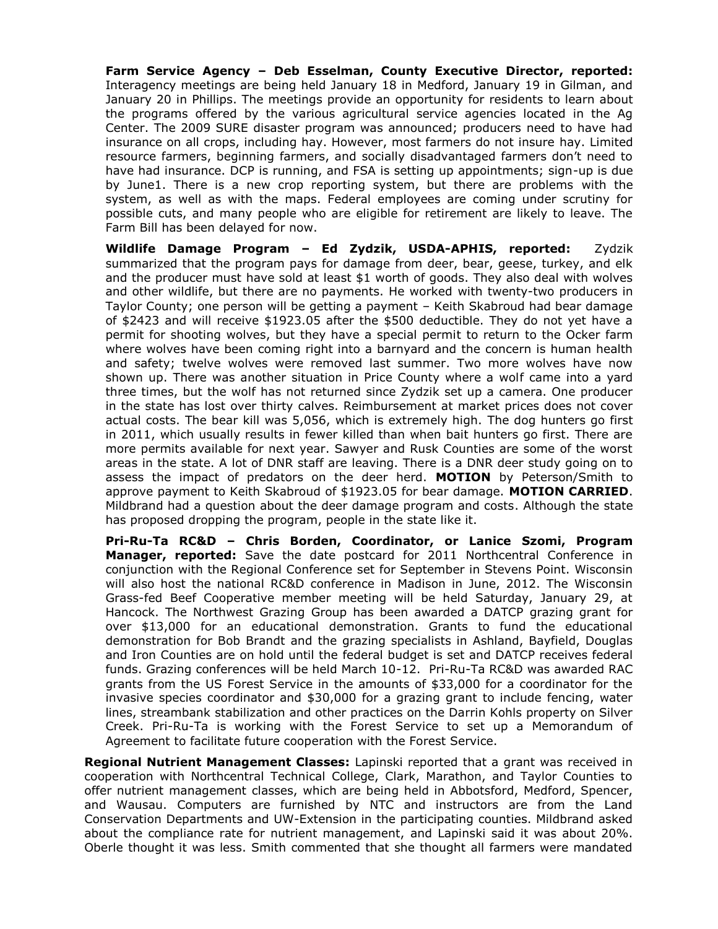**Farm Service Agency – Deb Esselman, County Executive Director, reported:** Interagency meetings are being held January 18 in Medford, January 19 in Gilman, and January 20 in Phillips. The meetings provide an opportunity for residents to learn about the programs offered by the various agricultural service agencies located in the Ag Center. The 2009 SURE disaster program was announced; producers need to have had insurance on all crops, including hay. However, most farmers do not insure hay. Limited resource farmers, beginning farmers, and socially disadvantaged farmers don't need to have had insurance. DCP is running, and FSA is setting up appointments; sign-up is due by June1. There is a new crop reporting system, but there are problems with the system, as well as with the maps. Federal employees are coming under scrutiny for possible cuts, and many people who are eligible for retirement are likely to leave. The Farm Bill has been delayed for now.

**Wildlife Damage Program – Ed Zydzik, USDA-APHIS, reported:** Zydzik summarized that the program pays for damage from deer, bear, geese, turkey, and elk and the producer must have sold at least \$1 worth of goods. They also deal with wolves and other wildlife, but there are no payments. He worked with twenty-two producers in Taylor County; one person will be getting a payment – Keith Skabroud had bear damage of \$2423 and will receive \$1923.05 after the \$500 deductible. They do not yet have a permit for shooting wolves, but they have a special permit to return to the Ocker farm where wolves have been coming right into a barnyard and the concern is human health and safety; twelve wolves were removed last summer. Two more wolves have now shown up. There was another situation in Price County where a wolf came into a yard three times, but the wolf has not returned since Zydzik set up a camera. One producer in the state has lost over thirty calves. Reimbursement at market prices does not cover actual costs. The bear kill was 5,056, which is extremely high. The dog hunters go first in 2011, which usually results in fewer killed than when bait hunters go first. There are more permits available for next year. Sawyer and Rusk Counties are some of the worst areas in the state. A lot of DNR staff are leaving. There is a DNR deer study going on to assess the impact of predators on the deer herd. **MOTION** by Peterson/Smith to approve payment to Keith Skabroud of \$1923.05 for bear damage. **MOTION CARRIED**. Mildbrand had a question about the deer damage program and costs. Although the state has proposed dropping the program, people in the state like it.

**Pri-Ru-Ta RC&D – Chris Borden, Coordinator, or Lanice Szomi, Program Manager, reported:** Save the date postcard for 2011 Northcentral Conference in conjunction with the Regional Conference set for September in Stevens Point. Wisconsin will also host the national RC&D conference in Madison in June, 2012. The Wisconsin Grass-fed Beef Cooperative member meeting will be held Saturday, January 29, at Hancock. The Northwest Grazing Group has been awarded a DATCP grazing grant for over \$13,000 for an educational demonstration. Grants to fund the educational demonstration for Bob Brandt and the grazing specialists in Ashland, Bayfield, Douglas and Iron Counties are on hold until the federal budget is set and DATCP receives federal funds. Grazing conferences will be held March 10-12. Pri-Ru-Ta RC&D was awarded RAC grants from the US Forest Service in the amounts of \$33,000 for a coordinator for the invasive species coordinator and \$30,000 for a grazing grant to include fencing, water lines, streambank stabilization and other practices on the Darrin Kohls property on Silver Creek. Pri-Ru-Ta is working with the Forest Service to set up a Memorandum of Agreement to facilitate future cooperation with the Forest Service.

**Regional Nutrient Management Classes:** Lapinski reported that a grant was received in cooperation with Northcentral Technical College, Clark, Marathon, and Taylor Counties to offer nutrient management classes, which are being held in Abbotsford, Medford, Spencer, and Wausau. Computers are furnished by NTC and instructors are from the Land Conservation Departments and UW-Extension in the participating counties. Mildbrand asked about the compliance rate for nutrient management, and Lapinski said it was about 20%. Oberle thought it was less. Smith commented that she thought all farmers were mandated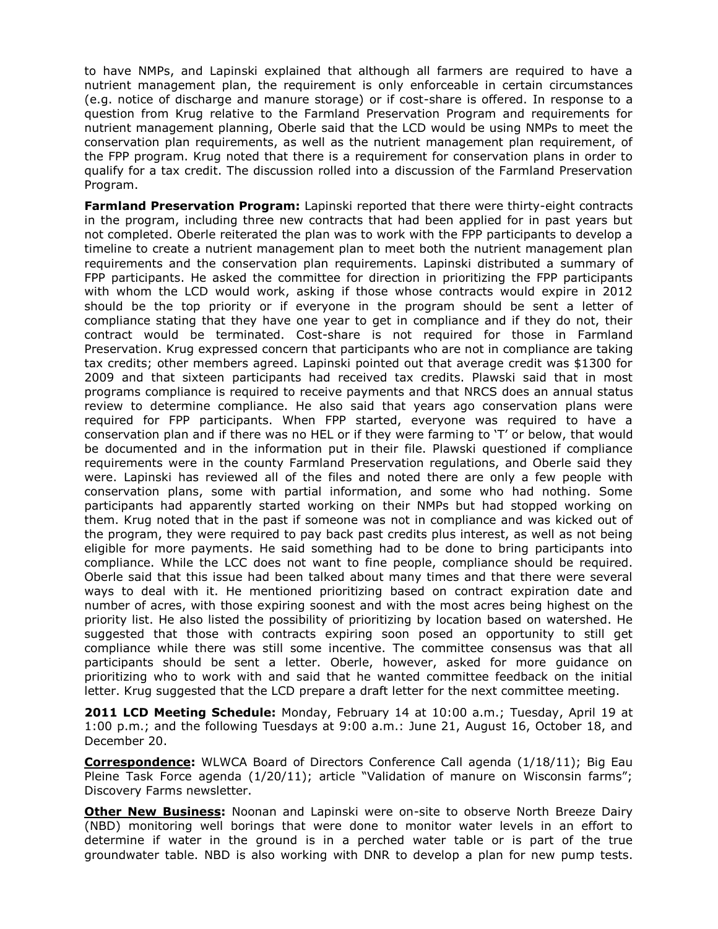to have NMPs, and Lapinski explained that although all farmers are required to have a nutrient management plan, the requirement is only enforceable in certain circumstances (e.g. notice of discharge and manure storage) or if cost-share is offered. In response to a question from Krug relative to the Farmland Preservation Program and requirements for nutrient management planning, Oberle said that the LCD would be using NMPs to meet the conservation plan requirements, as well as the nutrient management plan requirement, of the FPP program. Krug noted that there is a requirement for conservation plans in order to qualify for a tax credit. The discussion rolled into a discussion of the Farmland Preservation Program.

**Farmland Preservation Program:** Lapinski reported that there were thirty-eight contracts in the program, including three new contracts that had been applied for in past years but not completed. Oberle reiterated the plan was to work with the FPP participants to develop a timeline to create a nutrient management plan to meet both the nutrient management plan requirements and the conservation plan requirements. Lapinski distributed a summary of FPP participants. He asked the committee for direction in prioritizing the FPP participants with whom the LCD would work, asking if those whose contracts would expire in 2012 should be the top priority or if everyone in the program should be sent a letter of compliance stating that they have one year to get in compliance and if they do not, their contract would be terminated. Cost-share is not required for those in Farmland Preservation. Krug expressed concern that participants who are not in compliance are taking tax credits; other members agreed. Lapinski pointed out that average credit was \$1300 for 2009 and that sixteen participants had received tax credits. Plawski said that in most programs compliance is required to receive payments and that NRCS does an annual status review to determine compliance. He also said that years ago conservation plans were required for FPP participants. When FPP started, everyone was required to have a conservation plan and if there was no HEL or if they were farming to 'T' or below, that would be documented and in the information put in their file. Plawski questioned if compliance requirements were in the county Farmland Preservation regulations, and Oberle said they were. Lapinski has reviewed all of the files and noted there are only a few people with conservation plans, some with partial information, and some who had nothing. Some participants had apparently started working on their NMPs but had stopped working on them. Krug noted that in the past if someone was not in compliance and was kicked out of the program, they were required to pay back past credits plus interest, as well as not being eligible for more payments. He said something had to be done to bring participants into compliance. While the LCC does not want to fine people, compliance should be required. Oberle said that this issue had been talked about many times and that there were several ways to deal with it. He mentioned prioritizing based on contract expiration date and number of acres, with those expiring soonest and with the most acres being highest on the priority list. He also listed the possibility of prioritizing by location based on watershed. He suggested that those with contracts expiring soon posed an opportunity to still get compliance while there was still some incentive. The committee consensus was that all participants should be sent a letter. Oberle, however, asked for more guidance on prioritizing who to work with and said that he wanted committee feedback on the initial letter. Krug suggested that the LCD prepare a draft letter for the next committee meeting.

**2011 LCD Meeting Schedule:** Monday, February 14 at 10:00 a.m.; Tuesday, April 19 at 1:00 p.m.; and the following Tuesdays at 9:00 a.m.: June 21, August 16, October 18, and December 20.

**Correspondence:** WLWCA Board of Directors Conference Call agenda (1/18/11); Big Eau Pleine Task Force agenda (1/20/11); article "Validation of manure on Wisconsin farms"; Discovery Farms newsletter.

**Other New Business:** Noonan and Lapinski were on-site to observe North Breeze Dairy (NBD) monitoring well borings that were done to monitor water levels in an effort to determine if water in the ground is in a perched water table or is part of the true groundwater table. NBD is also working with DNR to develop a plan for new pump tests.